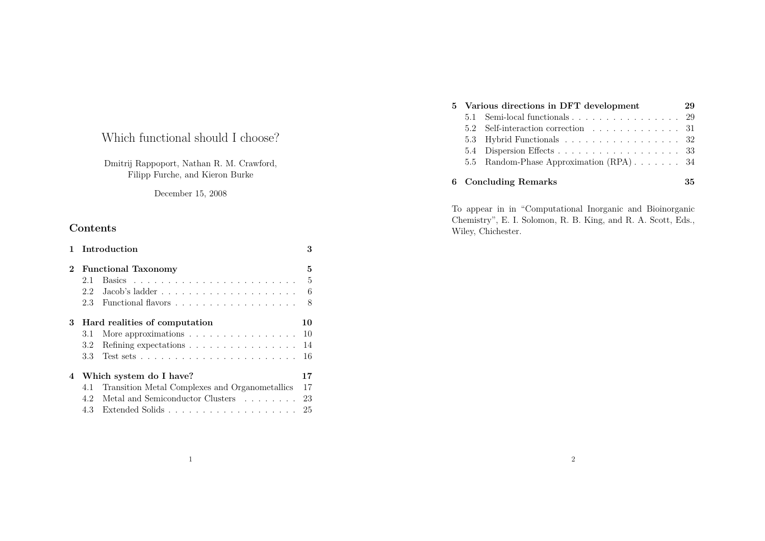# Which functional should I choose?

Dmitrij Rappoport, Nathan R. M. Crawford, Filipp Furche, and Kieron Burke

December 15, 2008

# **Contents**

|             |     | Introduction                                                                                        | 3   |
|-------------|-----|-----------------------------------------------------------------------------------------------------|-----|
| $\mathbf 2$ |     | <b>Functional Taxonomy</b>                                                                          | 5   |
|             | 2.1 |                                                                                                     | 5   |
|             | 2.2 |                                                                                                     | 6   |
|             | 2.3 |                                                                                                     | 8   |
| 3           |     | Hard realities of computation                                                                       | 10  |
|             | 3.1 |                                                                                                     |     |
|             | 3.2 | Refining expectations                                                                               | 14  |
|             | 3.3 | $Test sets \n\t\ldots \n\t\ldots \n\t\ldots \n\t\ldots \n\t\ldots \n\t\ldots \n\t\ldots \n\t\ldots$ | -16 |
| 4           |     | Which system do I have?                                                                             | 17  |
|             | 4.1 | Transition Metal Complexes and Organometallics                                                      | 17  |
|             | 4.2 | Metal and Semiconductor Clusters                                                                    | 23  |
|             | 4.3 |                                                                                                     | 25  |

| 5 Various directions in DFT development |                                         |    |  |  |
|-----------------------------------------|-----------------------------------------|----|--|--|
|                                         | 5.1 Semi-local functionals 29           |    |  |  |
|                                         | 5.2 Self-interaction correction 31      |    |  |  |
|                                         | 5.3 Hybrid Functionals 32               |    |  |  |
|                                         |                                         |    |  |  |
|                                         | 5.5 Random-Phase Approximation (RPA) 34 |    |  |  |
|                                         | 6 Concluding Remarks                    | 35 |  |  |

To appear in in "Computational Inorganic and Bioinorganic Chemistry", E. I. Solomon, R. B. King, and R. A. Scott, Eds., Wiley, Chichester.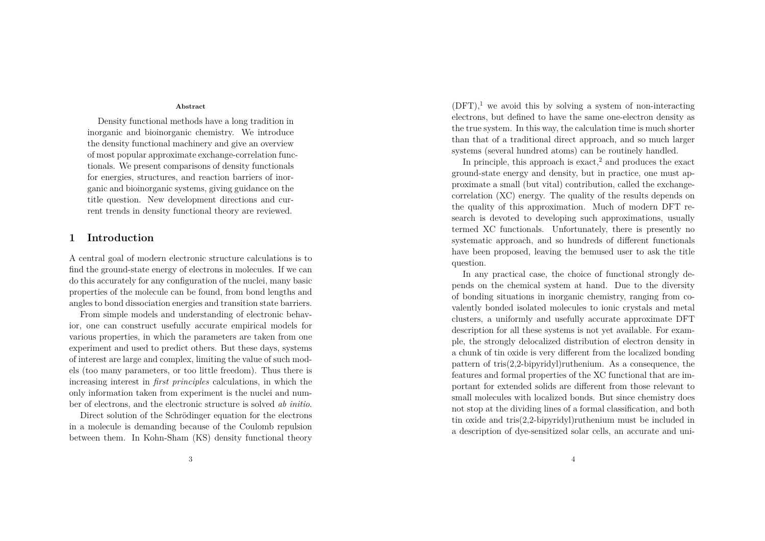#### **Abstract**

Density functional methods have a long tradition in inorganic and bioinorganic chemistry. We introduce the density functional machinery and give an overview of most popular approximate exchange-correlation functionals. We present comparisons of density functionals for energies, structures, and reaction barriers of inorganic and bioinorganic systems, giving guidance on the title question. New development directions and current trends in density functional theory are reviewed.

### **1 Introduction**

A central goal of modern electronic structure calculations is to find the ground-state energy of electrons in molecules. If we can do this accurately for any configuration of the nuclei, many basic properties of the molecule can be found, from bond lengths and angles to bond dissociation energies and transition state barriers.

From simple models and understanding of electronic behavior, one can construct usefully accurate empirical models for various properties, in which the parameters are taken from one experiment and used to predict others. But these days, systems of interest are large and complex, limiting the value of such models (too many parameters, or too little freedom). Thus there is increasing interest in *first principles* calculations, in which the only information taken from experiment is the nuclei and number of electrons, and the electronic structure is solved *ab initio*.

Direct solution of the Schrödinger equation for the electrons in a molecule is demanding because of the Coulomb repulsion between them. In Kohn-Sham (KS) density functional theory

 $(DFT)$ ,<sup>1</sup> we avoid this by solving a system of non-interacting electrons, but defined to have the same one-electron density as the true system. In this way, the calculation time is much shorter than that of a traditional direct approach, and so much larger systems (several hundred atoms) can be routinely handled.

In principle, this approach is exact,<sup>2</sup> and produces the exact ground-state energy and density, but in practice, one must approximate a small (but vital) contribution, called the exchangecorrelation (XC) energy. The quality of the results depends on the quality of this approximation. Much of modern DFT research is devoted to developing such approximations, usually termed XC functionals. Unfortunately, there is presently no systematic approach, and so hundreds of different functionals have been proposed, leaving the bemused user to ask the title question.

In any practical case, the choice of functional strongly depends on the chemical system at hand. Due to the diversity of bonding situations in inorganic chemistry, ranging from covalently bonded isolated molecules to ionic crystals and metal clusters, a uniformly and usefully accurate approximate DFT description for all these systems is not yet available. For example, the strongly delocalized distribution of electron density in a chunk of tin oxide is very different from the localized bonding pattern of tris(2,2-bipyridyl)ruthenium. As a consequence, the features and formal properties of the XC functional that are important for extended solids are different from those relevant to small molecules with localized bonds. But since chemistry does not stop at the dividing lines of a formal classification, and both tin oxide and tris(2,2-bipyridyl)ruthenium must be included in a description of dye-sensitized solar cells, an accurate and uni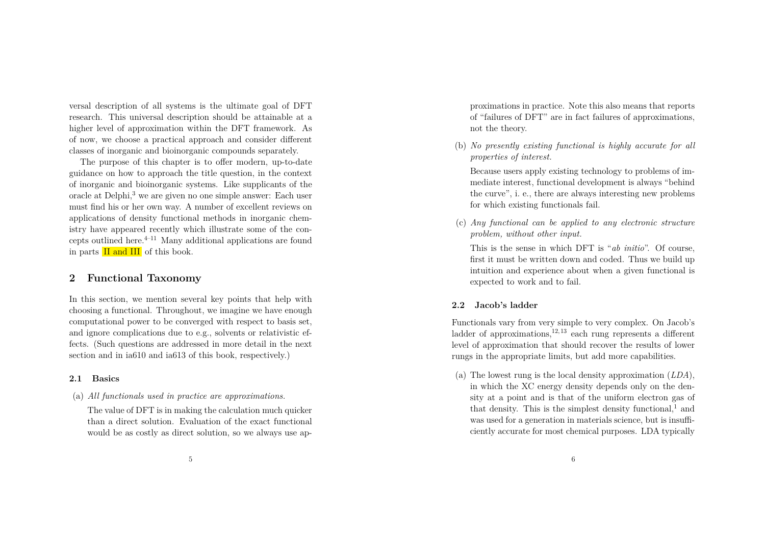versal description of all systems is the ultimate goal of DFT research. This universal description should be attainable at a higher level of approximation within the DFT framework. As of now, we choose a practical approach and consider different classes of inorganic and bioinorganic compounds separately.

The purpose of this chapter is to offer modern, up-to-date guidance on how to approach the title question, in the context of inorganic and bioinorganic systems. Like supplicants of the oracle at Delphi,<sup>3</sup> we are given no one simple answer: Each user must find his or her own way. A number of excellent reviews on applications of density functional methods in inorganic chemistry have appeared recently which illustrate some of the concepts outlined here. $4^{-11}$  Many additional applications are found in parts II and III of this book.

### **2 Functional Taxonomy**

In this section, we mention several key points that help with choosing a functional. Throughout, we imagine we have enough computational power to be converged with respect to basis set, and ignore complications due to e.g., solvents or relativistic effects. (Such questions are addressed in more detail in the next section and in ia610 and ia613 of this book, respectively.)

### **2.1 Basics**

(a) *All functionals used in practice are approximations.*

The value of DFT is in making the calculation much quicker than a direct solution. Evaluation of the exact functional would be as costly as direct solution, so we always use approximations in practice. Note this also means that reports of "failures of DFT" are in fact failures of approximations, not the theory.

(b) *No presently existing functional is highly accurate for all properties of interest.*

Because users apply existing technology to problems of immediate interest, functional development is always "behind the curve", i. e., there are always interesting new problems for which existing functionals fail.

(c) *Any functional can be applied to any electronic structure problem, without other input.*

This is the sense in which DFT is "*ab initio*". Of course, first it must be written down and coded. Thus we build up intuition and experience about when a given functional is expected to work and to fail.

#### **2.2 Jacob's ladder**

Functionals vary from very simple to very complex. On Jacob's ladder of approximations, $12, 13$  each rung represents a different level of approximation that should recover the results of lower rungs in the appropriate limits, but add more capabilities.

(a) The lowest rung is the local density approximation (*LDA*), in which the XC energy density depends only on the density at a point and is that of the uniform electron gas of that density. This is the simplest density functional, $<sup>1</sup>$  and</sup> was used for a generation in materials science, but is insufficiently accurate for most chemical purposes. LDA typically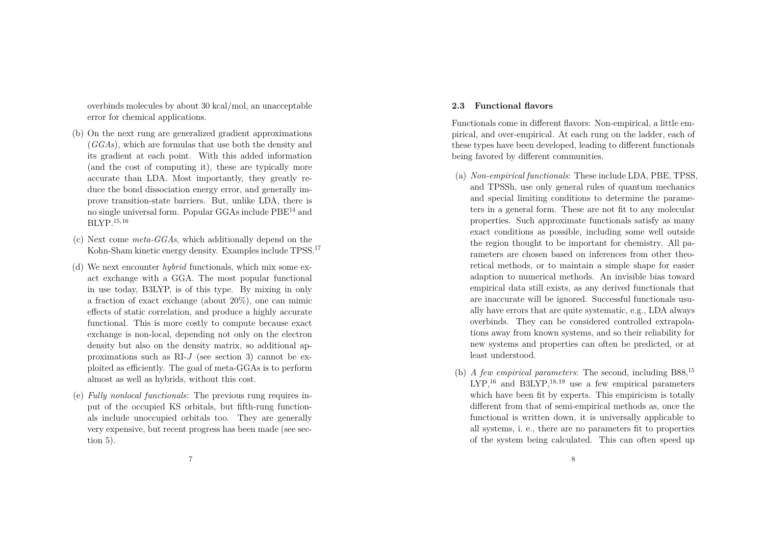overbinds molecules by about 30 kcal/mol, an unacceptable error for chemical applications.

- (b) On the next rung are generalized gradient approximations (*GGAs*), which are formulas that use both the density and its gradient at each point. With this added information (and the cost of computing it), these are typically more accurate than LDA. Most importantly, they greatly reduce the bond dissociation energy error, and generally improve transition-state barriers. But, unlike LDA, there is no single universal form. Popular GGAs include PBE<sup>14</sup> and BLYP.15, 16
- (c) Next come *meta-GGAs*, which additionally depend on the Kohn-Sham kinetic energy density. Examples include TPSS.<sup>17</sup>
- (d) We next encounter *hybrid* functionals, which mix some exact exchange with a GGA. The most popular functional in use today, B3LYP, is of this type. By mixing in only a fraction of exact exchange (about 20%), one can mimic effects of static correlation, and produce a highly accurate functional. This is more costly to compute because exact exchange is non-local, depending not only on the electron density but also on the density matrix, so additional approximations such as RI-*J* (see section 3) cannot be exploited as efficiently. The goal of meta-GGAs is to perform almost as well as hybrids, without this cost.
- (e) *Fully nonlocal functionals*: The previous rung requires input of the occupied KS orbitals, but fifth-rung functionals include unoccupied orbitals too. They are generally very expensive, but recent progress has been made (see section 5).

#### **2.3 Functional flavors**

Functionals come in different flavors: Non-empirical, a little empirical, and over-empirical. At each rung on the ladder, each of these types have been developed, leading to different functionals being favored by different communities.

- (a) *Non-empirical functionals*: These include LDA, PBE, TPSS, and TPSSh, use only general rules of quantum mechanics and special limiting conditions to determine the parameters in a general form. These are not fit to any molecular properties. Such approximate functionals satisfy as many exact conditions as possible, including some well outside the region thought to be important for chemistry. All parameters are chosen based on inferences from other theoretical methods, or to maintain a simple shape for easier adaption to numerical methods. An invisible bias toward empirical data still exists, as any derived functionals that are inaccurate will be ignored. Successful functionals usually have errors that are quite systematic, e.g., LDA always overbinds. They can be considered controlled extrapolations away from known systems, and so their reliability for new systems and properties can often be predicted, or at least understood.
- (b) *A few empirical parameters*: The second, including B88,<sup>15</sup>  $LYP<sup>16</sup>$  and B3LYP,<sup>18,19</sup> use a few empirical parameters which have been fit by experts. This empiricism is totally different from that of semi-empirical methods as, once the functional is written down, it is universally applicable to all systems, i. e., there are no parameters fit to properties of the system being calculated. This can often speed up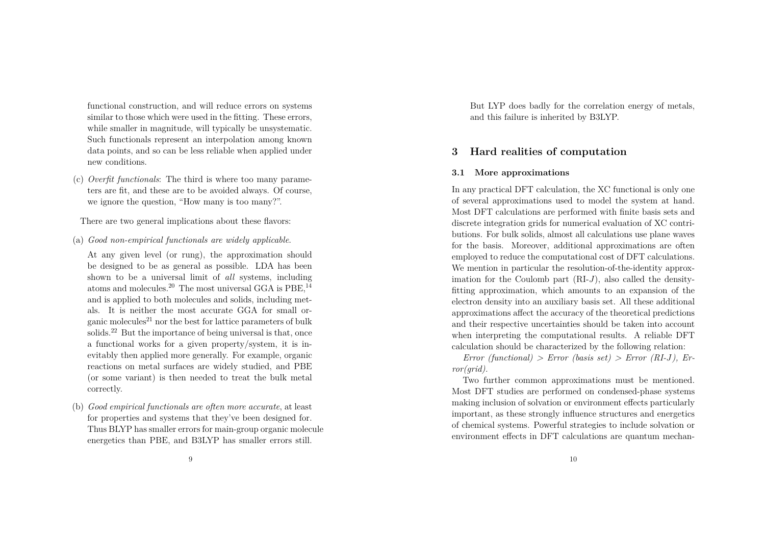functional construction, and will reduce errors on systems similar to those which were used in the fitting. These errors, while smaller in magnitude, will typically be unsystematic. Such functionals represent an interpolation among known data points, and so can be less reliable when applied under new conditions.

(c) *Overfit functionals*: The third is where too many parameters are fit, and these are to be avoided always. Of course, we ignore the question, "How many is too many?".

There are two general implications about these flavors:

(a) *Good non-empirical functionals are widely applicable*.

At any given level (or rung), the approximation should be designed to be as general as possible. LDA has been shown to be a universal limit of *all* systems, including atoms and molecules.<sup>20</sup> The most universal GGA is PBE,  $^{14}$ and is applied to both molecules and solids, including metals. It is neither the most accurate GGA for small organic molecules<sup>21</sup> nor the best for lattice parameters of bulk solids.<sup>22</sup> But the importance of being universal is that, once a functional works for a given property/system, it is inevitably then applied more generally. For example, organic reactions on metal surfaces are widely studied, and PBE (or some variant) is then needed to treat the bulk metal correctly.

(b) *Good empirical functionals are often more accurate*, at least for properties and systems that they've been designed for. Thus BLYP has smaller errors for main-group organic molecule energetics than PBE, and B3LYP has smaller errors still.

But LYP does badly for the correlation energy of metals, and this failure is inherited by B3LYP.

### **3 Hard realities of computation**

### **3.1 More approximations**

In any practical DFT calculation, the XC functional is only one of several approximations used to model the system at hand. Most DFT calculations are performed with finite basis sets and discrete integration grids for numerical evaluation of XC contributions. For bulk solids, almost all calculations use plane waves for the basis. Moreover, additional approximations are often employed to reduce the computational cost of DFT calculations. We mention in particular the resolution-of-the-identity approximation for the Coulomb part (RI-*J*), also called the densityfitting approximation, which amounts to an expansion of the electron density into an auxiliary basis set. All these additional approximations affect the accuracy of the theoretical predictions and their respective uncertainties should be taken into account when interpreting the computational results. A reliable DFT calculation should be characterized by the following relation:

*Error (functional) > Error (basis set) > Error (RI-J), Error(grid).*

Two further common approximations must be mentioned. Most DFT studies are performed on condensed-phase systems making inclusion of solvation or environment effects particularly important, as these strongly influence structures and energetics of chemical systems. Powerful strategies to include solvation or environment effects in DFT calculations are quantum mechan-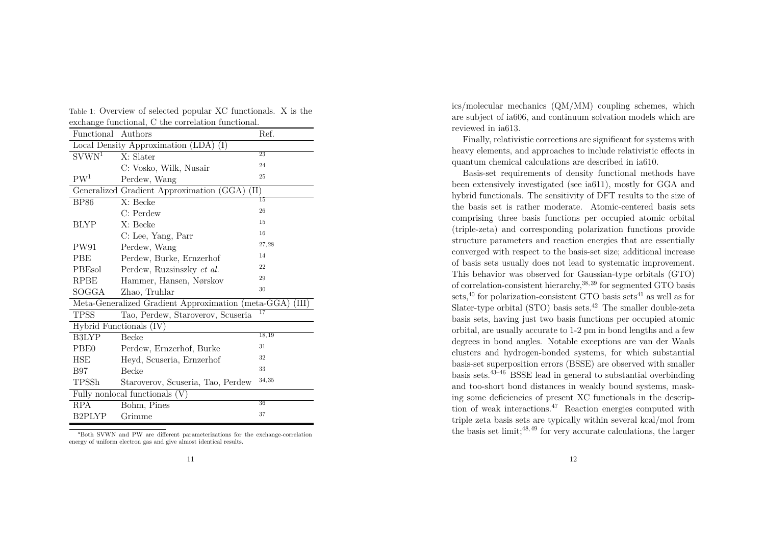|                                                          | еленанде тансионан, с тие согтегатон тансионан |                                                  |                 |  |  |  |  |
|----------------------------------------------------------|------------------------------------------------|--------------------------------------------------|-----------------|--|--|--|--|
|                                                          | Functional Authors                             |                                                  | Ref.            |  |  |  |  |
|                                                          | Local Density Approximation (LDA) (I)          |                                                  |                 |  |  |  |  |
|                                                          | $\text{SVMN}^1$                                | X: Slater                                        | 23              |  |  |  |  |
|                                                          |                                                | C: Vosko, Wilk, Nusair                           | 24              |  |  |  |  |
|                                                          | $\mathrm{PW}^1$                                | Perdew, Wang                                     | 25              |  |  |  |  |
|                                                          |                                                | Generalized Gradient Approximation (GGA)<br>(II) |                 |  |  |  |  |
|                                                          | <b>BP86</b>                                    | X: Becke                                         | $\overline{15}$ |  |  |  |  |
|                                                          |                                                | C: Perdew                                        | 26              |  |  |  |  |
|                                                          | <b>BLYP</b>                                    | X: Becke                                         | 15              |  |  |  |  |
|                                                          |                                                | C: Lee, Yang, Parr                               | 16              |  |  |  |  |
|                                                          | PW91                                           | Perdew, Wang                                     | 27,28           |  |  |  |  |
|                                                          | PBE                                            | Perdew, Burke, Ernzerhof                         | 14              |  |  |  |  |
|                                                          | PBEsol                                         | Perdew, Ruzsinszky et al.                        | 22              |  |  |  |  |
|                                                          | RPBE                                           | Hammer, Hansen, Nørskov                          | 29              |  |  |  |  |
|                                                          | SOGGA                                          | Zhao, Truhlar                                    | 30              |  |  |  |  |
| Meta-Generalized Gradient Approximation (meta-GGA) (III) |                                                |                                                  |                 |  |  |  |  |
|                                                          | TPSS                                           | Tao, Perdew, Staroverov, Scuseria                | 17              |  |  |  |  |
|                                                          |                                                | Hybrid Functionals (IV)                          |                 |  |  |  |  |
|                                                          | B3LYP                                          | Becke                                            | 18,19           |  |  |  |  |
|                                                          | PBE <sub>0</sub>                               | Perdew, Ernzerhof, Burke                         | 31              |  |  |  |  |
|                                                          | HSE                                            | Heyd, Scuseria, Ernzerhof                        | 32              |  |  |  |  |
|                                                          | B97                                            | <b>Becke</b>                                     | 33              |  |  |  |  |
|                                                          | TPSSh                                          | Staroverov, Scuseria, Tao, Perdew                | 34,35           |  |  |  |  |
|                                                          | Fully nonlocal functionals $(V)$               |                                                  |                 |  |  |  |  |
|                                                          | <b>RPA</b>                                     | Bohm, Pines                                      | 36              |  |  |  |  |
|                                                          | B <sub>2</sub> PLYP                            | Grimme                                           | 37              |  |  |  |  |

Table 1: Overview of selected popular XC functionals. X is the exchange functional, C the correlation functional.

*<sup>a</sup>*Both SVWN and PW are different parameterizations for the exchange-correlation energy of uniform electron gas and give almost identical results.

ics/molecular mechanics (QM/MM) coupling schemes, which are subject of ia606, and continuum solvation models which are reviewed in ia613.

Finally, relativistic corrections are significant for systems with heavy elements, and approaches to include relativistic effects in quantum chemical calculations are described in ia610.

Basis-set requirements of density functional methods have been extensively investigated (see ia611), mostly for GGA and hybrid functionals. The sensitivity of DFT results to the size of the basis set is rather moderate. Atomic-centered basis sets comprising three basis functions per occupied atomic orbital (triple-zeta) and corresponding polarization functions provide structure parameters and reaction energies that are essentially converged with respect to the basis-set size; additional increase of basis sets usually does not lead to systematic improvement. This behavior was observed for Gaussian-type orbitals (GTO) of correlation-consistent hierarchy,38, 39 for segmented GTO basis sets, $^{40}$  for polarization-consistent GTO basis sets<sup>41</sup> as well as for Slater-type orbital (STO) basis sets.<sup>42</sup> The smaller double-zeta basis sets, having just two basis functions per occupied atomic orbital, are usually accurate to 1-2 pm in bond lengths and a few degrees in bond angles. Notable exceptions are van der Waals clusters and hydrogen-bonded systems, for which substantial basis-set superposition errors (BSSE) are observed with smaller basis sets.43–46 BSSE lead in general to substantial overbinding and too-short bond distances in weakly bound systems, masking some deficiencies of present XC functionals in the description of weak interactions. $47$  Reaction energies computed with triple zeta basis sets are typically within several kcal/mol from the basis set limit;  $48,49$  for very accurate calculations, the larger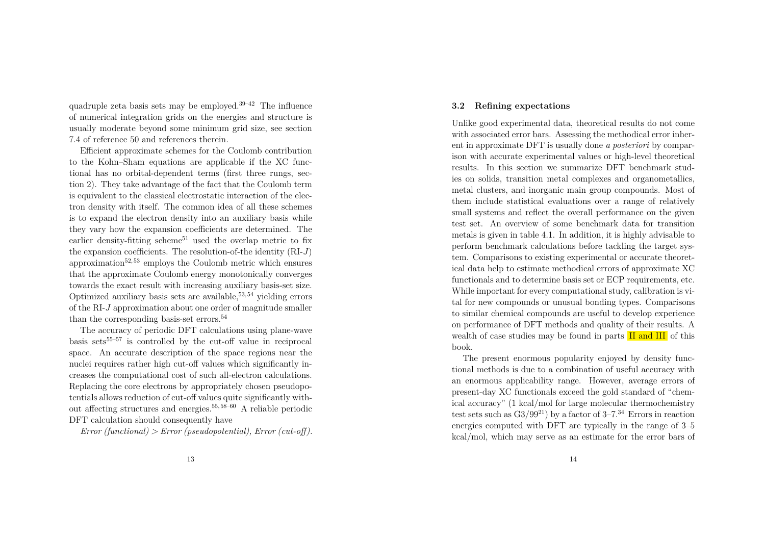quadruple zeta basis sets may be employed.<sup>39–42</sup> The influence of numerical integration grids on the energies and structure is usually moderate beyond some minimum grid size, see section 7.4 of reference 50 and references therein.

Efficient approximate schemes for the Coulomb contribution to the Kohn–Sham equations are applicable if the XC functional has no orbital-dependent terms (first three rungs, section 2). They take advantage of the fact that the Coulomb term is equivalent to the classical electrostatic interaction of the electron density with itself. The common idea of all these schemes is to expand the electron density into an auxiliary basis while they vary how the expansion coefficients are determined. The earlier density-fitting scheme<sup>51</sup> used the overlap metric to fix the expansion coefficients. The resolution-of-the identity (RI-*J*) approximation<sup>52, 53</sup> employs the Coulomb metric which ensures that the approximate Coulomb energy monotonically converges towards the exact result with increasing auxiliary basis-set size. Optimized auxiliary basis sets are available,  $53,54$  yielding errors of the RI-*J* approximation about one order of magnitude smaller than the corresponding basis-set errors.<sup>54</sup>

The accuracy of periodic DFT calculations using plane-wave basis sets<sup>55–57</sup> is controlled by the cut-off value in reciprocal space. An accurate description of the space regions near the nuclei requires rather high cut-off values which significantly increases the computational cost of such all-electron calculations. Replacing the core electrons by appropriately chosen pseudopotentials allows reduction of cut-off values quite significantly without affecting structures and energies.55, 58–60 A reliable periodic DFT calculation should consequently have

*Error (functional) > Error (pseudopotential), Error (cut-off).*

#### **3.2 Refining expectations**

Unlike good experimental data, theoretical results do not come with associated error bars. Assessing the methodical error inherent in approximate DFT is usually done *a posteriori* by comparison with accurate experimental values or high-level theoretical results. In this section we summarize DFT benchmark studies on solids, transition metal complexes and organometallics, metal clusters, and inorganic main group compounds. Most of them include statistical evaluations over a range of relatively small systems and reflect the overall performance on the given test set. An overview of some benchmark data for transition metals is given in table 4.1. In addition, it is highly advisable to perform benchmark calculations before tackling the target system. Comparisons to existing experimental or accurate theoretical data help to estimate methodical errors of approximate XC functionals and to determine basis set or ECP requirements, etc. While important for every computational study, calibration is vital for new compounds or unusual bonding types. Comparisons to similar chemical compounds are useful to develop experience on performance of DFT methods and quality of their results. A wealth of case studies may be found in parts **II and III** of this book.

The present enormous popularity enjoyed by density functional methods is due to a combination of useful accuracy with an enormous applicability range. However, average errors of present-day XC functionals exceed the gold standard of "chemical accuracy" (1 kcal/mol for large molecular thermochemistry test sets such as  $G3/99^{21}$  by a factor of 3–7.<sup>34</sup> Errors in reaction energies computed with DFT are typically in the range of 3–5 kcal/mol, which may serve as an estimate for the error bars of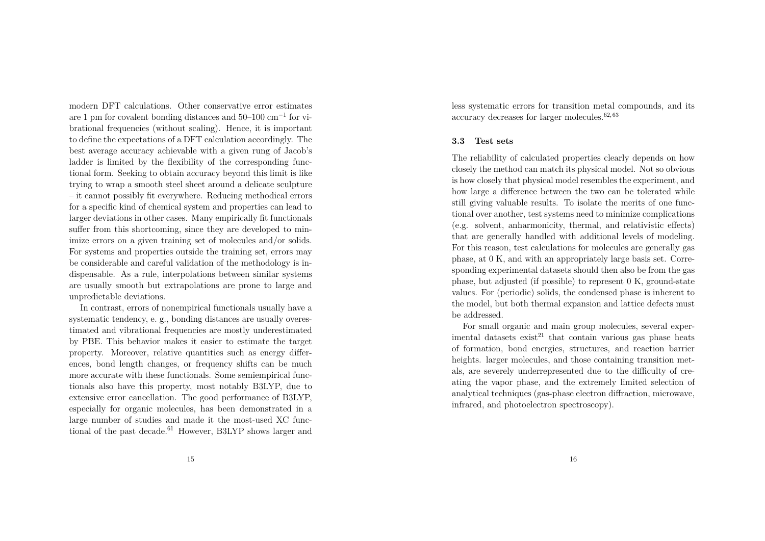modern DFT calculations. Other conservative error estimates are 1 pm for covalent bonding distances and 50–100 cm*−*<sup>1</sup> for vibrational frequencies (without scaling). Hence, it is important to define the expectations of a DFT calculation accordingly. The best average accuracy achievable with a given rung of Jacob's ladder is limited by the flexibility of the corresponding functional form. Seeking to obtain accuracy beyond this limit is like trying to wrap a smooth steel sheet around a delicate sculpture – it cannot possibly fit everywhere. Reducing methodical errors for a specific kind of chemical system and properties can lead to larger deviations in other cases. Many empirically fit functionals suffer from this shortcoming, since they are developed to minimize errors on a given training set of molecules and/or solids. For systems and properties outside the training set, errors may be considerable and careful validation of the methodology is indispensable. As a rule, interpolations between similar systems are usually smooth but extrapolations are prone to large and unpredictable deviations.

In contrast, errors of nonempirical functionals usually have a systematic tendency, e. g., bonding distances are usually overestimated and vibrational frequencies are mostly underestimated by PBE. This behavior makes it easier to estimate the target property. Moreover, relative quantities such as energy differences, bond length changes, or frequency shifts can be much more accurate with these functionals. Some semiempirical functionals also have this property, most notably B3LYP, due to extensive error cancellation. The good performance of B3LYP, especially for organic molecules, has been demonstrated in a large number of studies and made it the most-used XC functional of the past decade.<sup>61</sup> However, B3LYP shows larger and less systematic errors for transition metal compounds, and its accuracy decreases for larger molecules. $62, 63$ 

#### **3.3 Test sets**

The reliability of calculated properties clearly depends on how closely the method can match its physical model. Not so obvious is how closely that physical model resembles the experiment, and how large a difference between the two can be tolerated while still giving valuable results. To isolate the merits of one functional over another, test systems need to minimize complications (e.g. solvent, anharmonicity, thermal, and relativistic effects) that are generally handled with additional levels of modeling. For this reason, test calculations for molecules are generally gas phase, at 0 K, and with an appropriately large basis set. Corresponding experimental datasets should then also be from the gas phase, but adjusted (if possible) to represent 0 K, ground-state values. For (periodic) solids, the condensed phase is inherent to the model, but both thermal expansion and lattice defects must be addressed.

For small organic and main group molecules, several experimental datasets exist<sup>21</sup> that contain various gas phase heats of formation, bond energies, structures, and reaction barrier heights. larger molecules, and those containing transition metals, are severely underrepresented due to the difficulty of creating the vapor phase, and the extremely limited selection of analytical techniques (gas-phase electron diffraction, microwave, infrared, and photoelectron spectroscopy).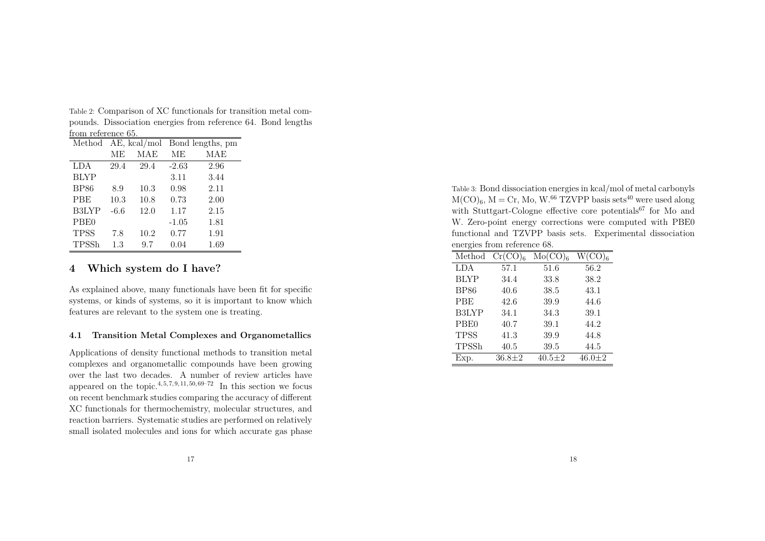|                    | pounds. Dissociation energies from reference 64. Bond lengths |  |
|--------------------|---------------------------------------------------------------|--|
| from reference 65. |                                                               |  |
|                    | Method AE, kcal/mol Bond lengths, pm                          |  |

Table 2: Comparison of XC functionals for transition metal com-

|                  | MЕ     | MAE  | МE      | <b>MAE</b> |  |
|------------------|--------|------|---------|------------|--|
| LDA              | 29.4   | 29.4 | $-2.63$ | 2.96       |  |
| <b>BLYP</b>      |        |      | 3.11    | 3.44       |  |
| <b>BP86</b>      | 8.9    | 10.3 | 0.98    | 2.11       |  |
| <b>PBE</b>       | 10.3   | 10.8 | 0.73    | 2.00       |  |
| <b>B3LYP</b>     | $-6.6$ | 12.0 | 1.17    | 2.15       |  |
| PBE <sub>0</sub> |        |      | $-1.05$ | 1.81       |  |
| <b>TPSS</b>      | 7.8    | 10.2 | 0.77    | 1.91       |  |
| TPSSh            | 1.3    | 9.7  | 0.04    | 1.69       |  |

### **4 Which system do I have?**

As explained above, many functionals have been fit for specific systems, or kinds of systems, so it is important to know which features are relevant to the system one is treating.

#### **4.1 Transition Metal Complexes and Organometallics**

Applications of density functional methods to transition metal complexes and organometallic compounds have been growing over the last two decades. A number of review articles have appeared on the topic.<sup>4, 5, 7, 9, 11, 50, 69–72</sup> In this section we focus on recent benchmark studies comparing the accuracy of different XC functionals for thermochemistry, molecular structures, and reaction barriers. Systematic studies are performed on relatively small isolated molecules and ions for which accurate gas phase Table 3: Bond dissociation energies in kcal/mol of metal carbonyls  $M(CO)_6$ ,  $M = Cr$ , Mo, W.<sup>66</sup> TZVPP basis sets<sup>40</sup> were used along with Stuttgart-Cologne effective core potentials<sup>67</sup> for Mo and W. Zero-point energy corrections were computed with PBE0 functional and TZVPP basis sets. Experimental dissociation energies from reference 68.

| Method           | Cr(CO) <sub>6</sub> | $Mo(CO)_{6}$ | $W({\rm CO})_6$ |
|------------------|---------------------|--------------|-----------------|
| LDA              | 57.1                | 51.6         | 56.2            |
| <b>BLYP</b>      | 34.4                | 33.8         | 38.2            |
| <b>BP86</b>      | 40.6                | 38.5         | 43.1            |
| <b>PBE</b>       | 42.6                | 39.9         | 44.6            |
| <b>B3LYP</b>     | 34.1                | 34.3         | 39.1            |
| PBE <sub>0</sub> | 40.7                | 39.1         | 44.2            |
| <b>TPSS</b>      | 41.3                | 39.9         | 44.8            |
| TPSSh            | 40.5                | 39.5         | 44.5            |
| Exp.             | $36.8 \pm 2$        | $40.5 \pm 2$ | $46.0 \pm 2$    |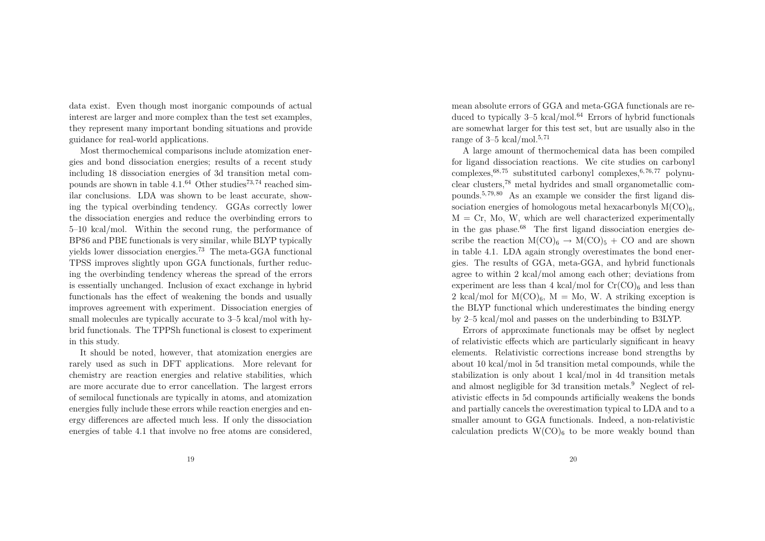data exist. Even though most inorganic compounds of actual interest are larger and more complex than the test set examples, they represent many important bonding situations and provide guidance for real-world applications.

Most thermochemical comparisons include atomization energies and bond dissociation energies; results of a recent study including 18 dissociation energies of 3d transition metal compounds are shown in table  $4.1<sup>64</sup>$  Other studies<sup>73,74</sup> reached similar conclusions. LDA was shown to be least accurate, showing the typical overbinding tendency. GGAs correctly lower the dissociation energies and reduce the overbinding errors to 5–10 kcal/mol. Within the second rung, the performance of BP86 and PBE functionals is very similar, while BLYP typically yields lower dissociation energies.<sup>73</sup> The meta-GGA functional TPSS improves slightly upon GGA functionals, further reducing the overbinding tendency whereas the spread of the errors is essentially unchanged. Inclusion of exact exchange in hybrid functionals has the effect of weakening the bonds and usually improves agreement with experiment. Dissociation energies of small molecules are typically accurate to  $3-5$  kcal/mol with hybrid functionals. The TPPSh functional is closest to experiment in this study.

It should be noted, however, that atomization energies are rarely used as such in DFT applications. More relevant for chemistry are reaction energies and relative stabilities, which are more accurate due to error cancellation. The largest errors of semilocal functionals are typically in atoms, and atomization energies fully include these errors while reaction energies and energy differences are affected much less. If only the dissociation energies of table 4.1 that involve no free atoms are considered,

mean absolute errors of GGA and meta-GGA functionals are reduced to typically  $3-5$  kcal/mol.<sup>64</sup> Errors of hybrid functionals are somewhat larger for this test set, but are usually also in the range of  $3-5$  kcal/mol.<sup>5,71</sup>

A large amount of thermochemical data has been compiled for ligand dissociation reactions. We cite studies on carbonyl complexes,  $68, 75$  substituted carbonyl complexes,  $6, 76, 77$  polynuclear clusters,<sup>78</sup> metal hydrides and small organometallic compounds.5, 79, 80 As an example we consider the first ligand dissociation energies of homologous metal hexacarbonyls  $M(CO)_{6}$ ,  $M = Cr$ , Mo, W, which are well characterized experimentally in the gas phase. $68$  The first ligand dissociation energies describe the reaction  $M(CO)_6 \rightarrow M(CO)_5 + CO$  and are shown in table 4.1. LDA again strongly overestimates the bond energies. The results of GGA, meta-GGA, and hybrid functionals agree to within 2 kcal/mol among each other; deviations from experiment are less than 4 kcal/mol for  $Cr(CO)_{6}$  and less than 2 kcal/mol for  $M(CO)_6$ ,  $M = Mo$ , W. A striking exception is the BLYP functional which underestimates the binding energy by 2–5 kcal/mol and passes on the underbinding to B3LYP.

Errors of approximate functionals may be offset by neglect of relativistic effects which are particularly significant in heavy elements. Relativistic corrections increase bond strengths by about 10 kcal/mol in 5d transition metal compounds, while the stabilization is only about 1 kcal/mol in 4d transition metals and almost negligible for 3d transition metals.<sup>9</sup> Neglect of relativistic effects in 5d compounds artificially weakens the bonds and partially cancels the overestimation typical to LDA and to a smaller amount to GGA functionals. Indeed, a non-relativistic calculation predicts  $W(CO)_{6}$  to be more weakly bound than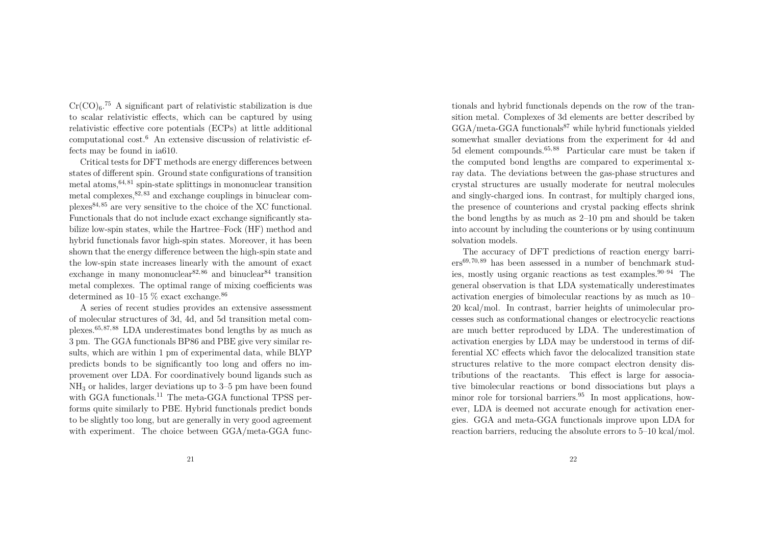$Cr({\rm CO})_6$ .<sup>75</sup> A significant part of relativistic stabilization is due to scalar relativistic effects, which can be captured by using relativistic effective core potentials (ECPs) at little additional computational cost.<sup>6</sup> An extensive discussion of relativistic effects may be found in ia610.

Critical tests for DFT methods are energy differences between states of different spin. Ground state configurations of transition metal atoms,  $64, 81$  spin-state splittings in mononuclear transition metal complexes, $82,83$  and exchange couplings in binuclear complexes  $84,85$  are very sensitive to the choice of the XC functional. Functionals that do not include exact exchange significantly stabilize low-spin states, while the Hartree–Fock (HF) method and hybrid functionals favor high-spin states. Moreover, it has been shown that the energy difference between the high-spin state and the low-spin state increases linearly with the amount of exact exchange in many mononuclear  $82,86$  and binuclear  $84$  transition metal complexes. The optimal range of mixing coefficients was determined as  $10-15\%$  exact exchange.<sup>86</sup>

A series of recent studies provides an extensive assessment of molecular structures of 3d, 4d, and 5d transition metal complexes.65, 87, 88 LDA underestimates bond lengths by as much as 3 pm. The GGA functionals BP86 and PBE give very similar results, which are within 1 pm of experimental data, while BLYP predicts bonds to be significantly too long and offers no improvement over LDA. For coordinatively bound ligands such as NH<sub>3</sub> or halides, larger deviations up to 3–5 pm have been found with GGA functionals.<sup>11</sup> The meta-GGA functional TPSS performs quite similarly to PBE. Hybrid functionals predict bonds to be slightly too long, but are generally in very good agreement with experiment. The choice between GGA/meta-GGA func-

tionals and hybrid functionals depends on the row of the transition metal. Complexes of 3d elements are better described by  $GGA/meta-GGA$  functionals<sup>87</sup> while hybrid functionals yielded somewhat smaller deviations from the experiment for 4d and 5d element compounds.65, 88 Particular care must be taken if the computed bond lengths are compared to experimental xray data. The deviations between the gas-phase structures and crystal structures are usually moderate for neutral molecules and singly-charged ions. In contrast, for multiply charged ions, the presence of counterions and crystal packing effects shrink the bond lengths by as much as 2–10 pm and should be taken into account by including the counterions or by using continuum solvation models.

The accuracy of DFT predictions of reaction energy barri $ers^{69,70,89}$  has been assessed in a number of benchmark studies, mostly using organic reactions as test examples.  $90-94$  The general observation is that LDA systematically underestimates activation energies of bimolecular reactions by as much as 10– 20 kcal/mol. In contrast, barrier heights of unimolecular processes such as conformational changes or electrocyclic reactions are much better reproduced by LDA. The underestimation of activation energies by LDA may be understood in terms of differential XC effects which favor the delocalized transition state structures relative to the more compact electron density distributions of the reactants. This effect is large for associative bimolecular reactions or bond dissociations but plays a minor role for torsional barriers.<sup>95</sup> In most applications, however, LDA is deemed not accurate enough for activation energies. GGA and meta-GGA functionals improve upon LDA for reaction barriers, reducing the absolute errors to 5–10 kcal/mol.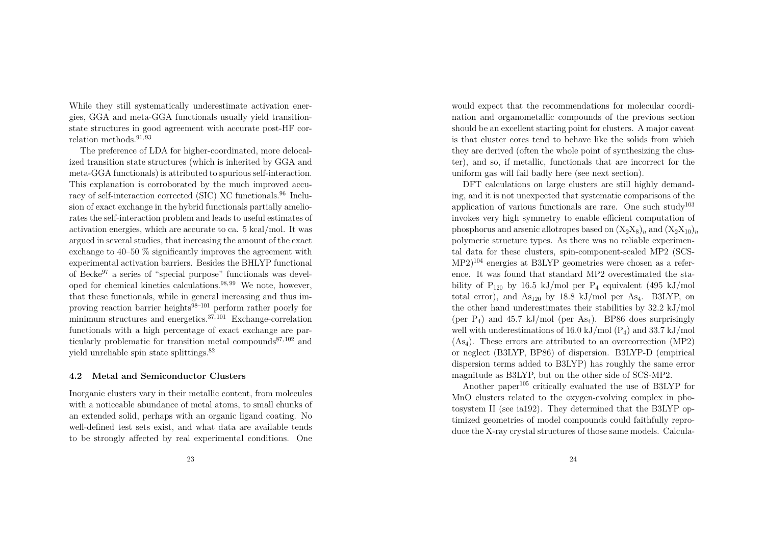While they still systematically underestimate activation energies, GGA and meta-GGA functionals usually yield transitionstate structures in good agreement with accurate post-HF correlation methods. $91,93$ 

The preference of LDA for higher-coordinated, more delocalized transition state structures (which is inherited by GGA and meta-GGA functionals) is attributed to spurious self-interaction. This explanation is corroborated by the much improved accuracy of self-interaction corrected (SIC) XC functionals.<sup>96</sup> Inclusion of exact exchange in the hybrid functionals partially ameliorates the self-interaction problem and leads to useful estimates of activation energies, which are accurate to ca. 5 kcal/mol. It was argued in several studies, that increasing the amount of the exact exchange to 40–50 % significantly improves the agreement with experimental activation barriers. Besides the BHLYP functional of Becke<sup>97</sup> a series of "special purpose" functionals was developed for chemical kinetics calculations.98, 99 We note, however, that these functionals, while in general increasing and thus improving reaction barrier heights $98-101$  perform rather poorly for minimum structures and energetics.<sup>37, 101</sup> Exchange-correlation functionals with a high percentage of exact exchange are particularly problematic for transition metal compounds $87,102$  and yield unreliable spin state splittings.<sup>82</sup>

#### **4.2 Metal and Semiconductor Clusters**

Inorganic clusters vary in their metallic content, from molecules with a noticeable abundance of metal atoms, to small chunks of an extended solid, perhaps with an organic ligand coating. No well-defined test sets exist, and what data are available tends to be strongly affected by real experimental conditions. One would expect that the recommendations for molecular coordination and organometallic compounds of the previous section should be an excellent starting point for clusters. A major caveat is that cluster cores tend to behave like the solids from which they are derived (often the whole point of synthesizing the cluster), and so, if metallic, functionals that are incorrect for the uniform gas will fail badly here (see next section).

DFT calculations on large clusters are still highly demanding, and it is not unexpected that systematic comparisons of the application of various functionals are rare. One such study<sup>103</sup> invokes very high symmetry to enable efficient computation of phosphorus and arsenic allotropes based on  $(X_2X_8)_n$  and  $(X_2X_{10})_n$ polymeric structure types. As there was no reliable experimental data for these clusters, spin-component-scaled MP2 (SCS- $MP2$ <sup>104</sup> energies at B3LYP geometries were chosen as a reference. It was found that standard MP2 overestimated the stability of P<sub>120</sub> by 16.5 kJ/mol per P<sub>4</sub> equivalent (495 kJ/mol total error), and  $As_{120}$  by 18.8 kJ/mol per As<sub>4</sub>. B3LYP, on the other hand underestimates their stabilities by 32.2 kJ/mol (per  $P_4$ ) and 45.7 kJ/mol (per As<sub>4</sub>). BP86 does surprisingly well with underestimations of 16.0 kJ/mol  $(P_4)$  and 33.7 kJ/mol  $(As<sub>4</sub>)$ . These errors are attributed to an overcorrection  $(MP2)$ or neglect (B3LYP, BP86) of dispersion. B3LYP-D (empirical dispersion terms added to B3LYP) has roughly the same error magnitude as B3LYP, but on the other side of SCS-MP2.

Another paper<sup>105</sup> critically evaluated the use of B3LYP for MnO clusters related to the oxygen-evolving complex in photosystem II (see ia192). They determined that the B3LYP optimized geometries of model compounds could faithfully reproduce the X-ray crystal structures of those same models. Calcula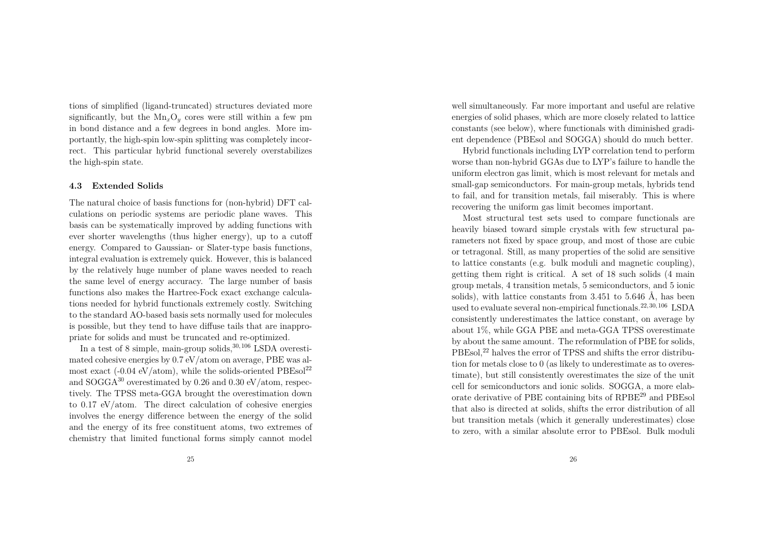tions of simplified (ligand-truncated) structures deviated more significantly, but the  $Mn_rO_\nu$  cores were still within a few pm in bond distance and a few degrees in bond angles. More importantly, the high-spin low-spin splitting was completely incorrect. This particular hybrid functional severely overstabilizes the high-spin state.

#### **4.3 Extended Solids**

The natural choice of basis functions for (non-hybrid) DFT calculations on periodic systems are periodic plane waves. This basis can be systematically improved by adding functions with ever shorter wavelengths (thus higher energy), up to a cutoff energy. Compared to Gaussian- or Slater-type basis functions, integral evaluation is extremely quick. However, this is balanced by the relatively huge number of plane waves needed to reach the same level of energy accuracy. The large number of basis functions also makes the Hartree-Fock exact exchange calculations needed for hybrid functionals extremely costly. Switching to the standard AO-based basis sets normally used for molecules is possible, but they tend to have diffuse tails that are inappropriate for solids and must be truncated and re-optimized.

In a test of 8 simple, main-group solids,  $30,106$  LSDA overestimated cohesive energies by 0.7 eV/atom on average, PBE was almost exact (-0.04 eV/atom), while the solids-oriented PBEsol<sup>22</sup> and SOGGA<sup>30</sup> overestimated by 0.26 and 0.30 eV/atom, respectively. The TPSS meta-GGA brought the overestimation down to 0.17 eV/atom. The direct calculation of cohesive energies involves the energy difference between the energy of the solid and the energy of its free constituent atoms, two extremes of chemistry that limited functional forms simply cannot model well simultaneously. Far more important and useful are relative energies of solid phases, which are more closely related to lattice constants (see below), where functionals with diminished gradient dependence (PBEsol and SOGGA) should do much better.

Hybrid functionals including LYP correlation tend to perform worse than non-hybrid GGAs due to LYP's failure to handle the uniform electron gas limit, which is most relevant for metals and small-gap semiconductors. For main-group metals, hybrids tend to fail, and for transition metals, fail miserably. This is where recovering the uniform gas limit becomes important.

Most structural test sets used to compare functionals are heavily biased toward simple crystals with few structural parameters not fixed by space group, and most of those are cubic or tetragonal. Still, as many properties of the solid are sensitive to lattice constants (e.g. bulk moduli and magnetic coupling), getting them right is critical. A set of 18 such solids (4 main group metals, 4 transition metals, 5 semiconductors, and 5 ionic solids), with lattice constants from 3.451 to 5.646 Å, has been used to evaluate several non-empirical functionals.22, 30, 106 LSDA consistently underestimates the lattice constant, on average by about 1%, while GGA PBE and meta-GGA TPSS overestimate by about the same amount. The reformulation of PBE for solids, PBEsol,<sup>22</sup> halves the error of TPSS and shifts the error distribution for metals close to 0 (as likely to underestimate as to overestimate), but still consistently overestimates the size of the unit cell for semiconductors and ionic solids. SOGGA, a more elaborate derivative of PBE containing bits of RPBE<sup>29</sup> and PBEsol that also is directed at solids, shifts the error distribution of all but transition metals (which it generally underestimates) close to zero, with a similar absolute error to PBEsol. Bulk moduli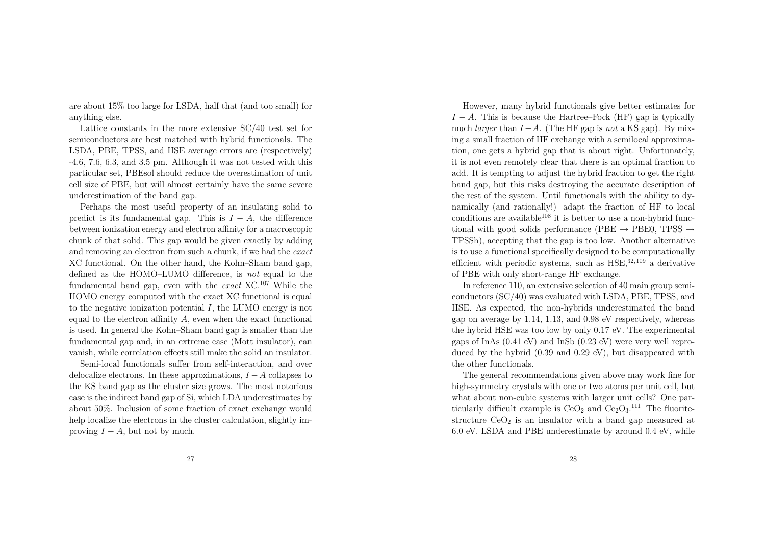are about 15% too large for LSDA, half that (and too small) for anything else.

Lattice constants in the more extensive SC/40 test set for semiconductors are best matched with hybrid functionals. The LSDA, PBE, TPSS, and HSE average errors are (respectively) -4.6, 7.6, 6.3, and 3.5 pm. Although it was not tested with this particular set, PBEsol should reduce the overestimation of unit cell size of PBE, but will almost certainly have the same severe underestimation of the band gap.

Perhaps the most useful property of an insulating solid to predict is its fundamental gap. This is  $I - A$ , the difference between ionization energy and electron affinity for a macroscopic chunk of that solid. This gap would be given exactly by adding and removing an electron from such a chunk, if we had the *exact* XC functional. On the other hand, the Kohn–Sham band gap, defined as the HOMO–LUMO difference, is *not* equal to the fundamental band gap, even with the *exact* XC.<sup>107</sup> While the HOMO energy computed with the exact XC functional is equal to the negative ionization potential *I*, the LUMO energy is not equal to the electron affinity *A*, even when the exact functional is used. In general the Kohn–Sham band gap is smaller than the fundamental gap and, in an extreme case (Mott insulator), can vanish, while correlation effects still make the solid an insulator.

Semi-local functionals suffer from self-interaction, and over delocalize electrons. In these approximations,  $I - A$  collapses to the KS band gap as the cluster size grows. The most notorious case is the indirect band gap of Si, which LDA underestimates by about 50%. Inclusion of some fraction of exact exchange would help localize the electrons in the cluster calculation, slightly improving  $I - A$ , but not by much.

However, many hybrid functionals give better estimates for  $I - A$ . This is because the Hartree–Fock (HF) gap is typically much *larger* than  $I - A$ . (The HF gap is *not* a KS gap). By mixing a small fraction of HF exchange with a semilocal approximation, one gets a hybrid gap that is about right. Unfortunately, it is not even remotely clear that there is an optimal fraction to add. It is tempting to adjust the hybrid fraction to get the right band gap, but this risks destroying the accurate description of the rest of the system. Until functionals with the ability to dynamically (and rationally!) adapt the fraction of HF to local conditions are available<sup>108</sup> it is better to use a non-hybrid functional with good solids performance (PBE *→* PBE0, TPSS *→* TPSSh), accepting that the gap is too low. Another alternative is to use a functional specifically designed to be computationally efficient with periodic systems, such as  $HSE$ ,  $32,109$  a derivative of PBE with only short-range HF exchange.

In reference 110, an extensive selection of 40 main group semiconductors (SC/40) was evaluated with LSDA, PBE, TPSS, and HSE. As expected, the non-hybrids underestimated the band gap on average by 1.14, 1.13, and 0.98 eV respectively, whereas the hybrid HSE was too low by only 0.17 eV. The experimental gaps of InAs (0.41 eV) and InSb (0.23 eV) were very well reproduced by the hybrid (0.39 and 0.29 eV), but disappeared with the other functionals.

The general recommendations given above may work fine for high-symmetry crystals with one or two atoms per unit cell, but what about non-cubic systems with larger unit cells? One particularly difficult example is  $CeO<sub>2</sub>$  and  $Ce<sub>2</sub>O<sub>3</sub>$ .<sup>111</sup> The fluoritestructure  $CeO<sub>2</sub>$  is an insulator with a band gap measured at 6.0 eV. LSDA and PBE underestimate by around 0.4 eV, while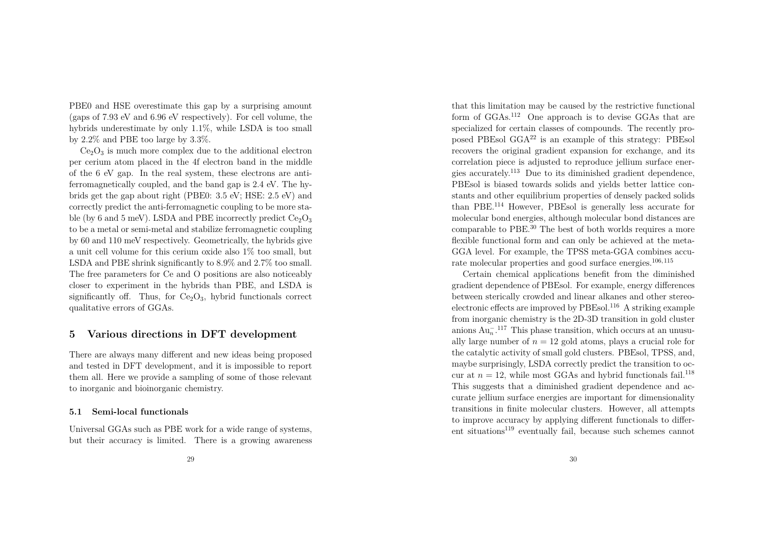PBE0 and HSE overestimate this gap by a surprising amount (gaps of 7.93 eV and 6.96 eV respectively). For cell volume, the hybrids underestimate by only 1.1%, while LSDA is too small by 2.2% and PBE too large by 3.3%.

 $Ce<sub>2</sub>O<sub>3</sub>$  is much more complex due to the additional electron per cerium atom placed in the 4f electron band in the middle of the 6 eV gap. In the real system, these electrons are antiferromagnetically coupled, and the band gap is 2.4 eV. The hybrids get the gap about right (PBE0: 3.5 eV; HSE: 2.5 eV) and correctly predict the anti-ferromagnetic coupling to be more stable (by 6 and 5 meV). LSDA and PBE incorrectly predict  $Ce<sub>2</sub>O<sub>3</sub>$ to be a metal or semi-metal and stabilize ferromagnetic coupling by 60 and 110 meV respectively. Geometrically, the hybrids give a unit cell volume for this cerium oxide also 1% too small, but LSDA and PBE shrink significantly to 8.9% and 2.7% too small. The free parameters for Ce and O positions are also noticeably closer to experiment in the hybrids than PBE, and LSDA is significantly off. Thus, for  $Ce<sub>2</sub>O<sub>3</sub>$ , hybrid functionals correct qualitative errors of GGAs.

## **5 Various directions in DFT development**

There are always many different and new ideas being proposed and tested in DFT development, and it is impossible to report them all. Here we provide a sampling of some of those relevant to inorganic and bioinorganic chemistry.

#### **5.1 Semi-local functionals**

Universal GGAs such as PBE work for a wide range of systems, but their accuracy is limited. There is a growing awareness

that this limitation may be caused by the restrictive functional form of GGAs.<sup>112</sup> One approach is to devise GGAs that are specialized for certain classes of compounds. The recently proposed PBEsol GGA<sup>22</sup> is an example of this strategy: PBEsol recovers the original gradient expansion for exchange, and its correlation piece is adjusted to reproduce jellium surface energies accurately.<sup>113</sup> Due to its diminished gradient dependence, PBEsol is biased towards solids and yields better lattice constants and other equilibrium properties of densely packed solids than PBE.<sup>114</sup> However, PBEsol is generally less accurate for molecular bond energies, although molecular bond distances are comparable to PBE.<sup>30</sup> The best of both worlds requires a more flexible functional form and can only be achieved at the meta-GGA level. For example, the TPSS meta-GGA combines accurate molecular properties and good surface energies.<sup>106, 115</sup>

Certain chemical applications benefit from the diminished gradient dependence of PBEsol. For example, energy differences between sterically crowded and linear alkanes and other stereoelectronic effects are improved by PBEsol.<sup>116</sup> A striking example from inorganic chemistry is the 2D-3D transition in gold cluster anions  $Au_n^{-117}$  This phase transition, which occurs at an unusually large number of  $n = 12$  gold atoms, plays a crucial role for the catalytic activity of small gold clusters. PBEsol, TPSS, and, maybe surprisingly, LSDA correctly predict the transition to occur at  $n = 12$ , while most GGAs and hybrid functionals fail.<sup>118</sup> This suggests that a diminished gradient dependence and accurate jellium surface energies are important for dimensionality transitions in finite molecular clusters. However, all attempts to improve accuracy by applying different functionals to different situations<sup>119</sup> eventually fail, because such schemes cannot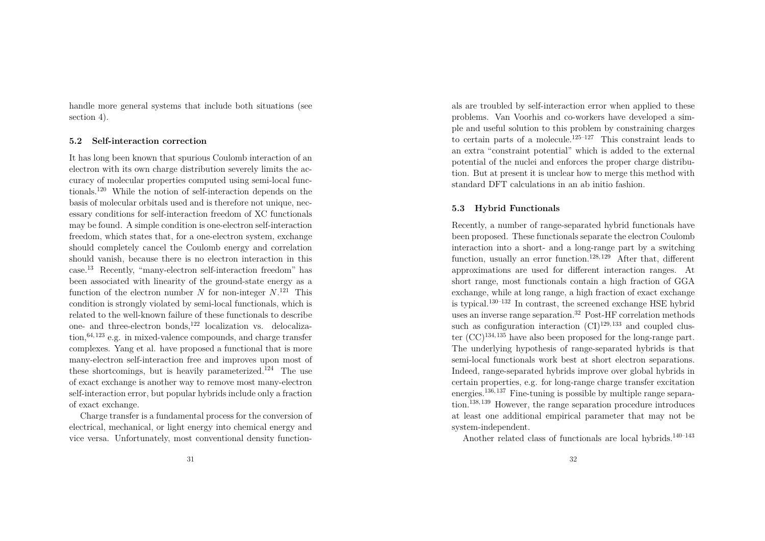handle more general systems that include both situations (see section 4).

#### **5.2 Self-interaction correction**

It has long been known that spurious Coulomb interaction of an electron with its own charge distribution severely limits the accuracy of molecular properties computed using semi-local functionals.<sup>120</sup> While the notion of self-interaction depends on the basis of molecular orbitals used and is therefore not unique, necessary conditions for self-interaction freedom of XC functionals may be found. A simple condition is one-electron self-interaction freedom, which states that, for a one-electron system, exchange should completely cancel the Coulomb energy and correlation should vanish, because there is no electron interaction in this case.<sup>13</sup> Recently, "many-electron self-interaction freedom" has been associated with linearity of the ground-state energy as a function of the electron number  $N$  for non-integer  $N$ .<sup>121</sup> This condition is strongly violated by semi-local functionals, which is related to the well-known failure of these functionals to describe one- and three-electron bonds,<sup>122</sup> localization vs. delocalization,  $64, 123$  e.g. in mixed-valence compounds, and charge transfer complexes. Yang et al. have proposed a functional that is more many-electron self-interaction free and improves upon most of these shortcomings, but is heavily parameterized.<sup>124</sup> The use of exact exchange is another way to remove most many-electron self-interaction error, but popular hybrids include only a fraction of exact exchange.

Charge transfer is a fundamental process for the conversion of electrical, mechanical, or light energy into chemical energy and vice versa. Unfortunately, most conventional density function-

als are troubled by self-interaction error when applied to these problems. Van Voorhis and co-workers have developed a simple and useful solution to this problem by constraining charges to certain parts of a molecule.125–127 This constraint leads to an extra "constraint potential" which is added to the external potential of the nuclei and enforces the proper charge distribution. But at present it is unclear how to merge this method with standard DFT calculations in an ab initio fashion.

#### **5.3 Hybrid Functionals**

Recently, a number of range-separated hybrid functionals have been proposed. These functionals separate the electron Coulomb interaction into a short- and a long-range part by a switching function, usually an error function.<sup>128, 129</sup> After that, different approximations are used for different interaction ranges. At short range, most functionals contain a high fraction of GGA exchange, while at long range, a high fraction of exact exchange is typical.130–132 In contrast, the screened exchange HSE hybrid uses an inverse range separation.<sup>32</sup> Post-HF correlation methods such as configuration interaction  $(CI)^{129, 133}$  and coupled cluster  $(CC)^{134,135}$  have also been proposed for the long-range part. The underlying hypothesis of range-separated hybrids is that semi-local functionals work best at short electron separations. Indeed, range-separated hybrids improve over global hybrids in certain properties, e.g. for long-range charge transfer excitation energies.<sup>136, 137</sup> Fine-tuning is possible by multiple range separation.138, 139 However, the range separation procedure introduces at least one additional empirical parameter that may not be system-independent.

Another related class of functionals are local hybrids.<sup>140–143</sup>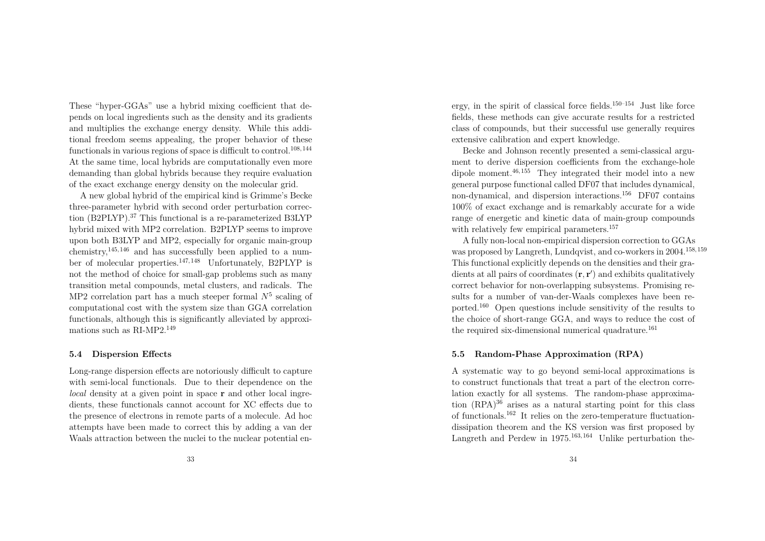These "hyper-GGAs" use a hybrid mixing coefficient that depends on local ingredients such as the density and its gradients and multiplies the exchange energy density. While this additional freedom seems appealing, the proper behavior of these functionals in various regions of space is difficult to control.<sup>108, 144</sup> At the same time, local hybrids are computationally even more demanding than global hybrids because they require evaluation of the exact exchange energy density on the molecular grid.

A new global hybrid of the empirical kind is Grimme's Becke three-parameter hybrid with second order perturbation correction (B2PLYP).<sup>37</sup> This functional is a re-parameterized B3LYP hybrid mixed with MP2 correlation. B2PLYP seems to improve upon both B3LYP and MP2, especially for organic main-group chemistry,<sup>145, 146</sup> and has successfully been applied to a number of molecular properties.147, 148 Unfortunately, B2PLYP is not the method of choice for small-gap problems such as many transition metal compounds, metal clusters, and radicals. The MP2 correlation part has a much steeper formal *N*<sup>5</sup> scaling of computational cost with the system size than GGA correlation functionals, although this is significantly alleviated by approximations such as RI-MP2.<sup>149</sup>

#### **5.4 Dispersion Effects**

Long-range dispersion effects are notoriously difficult to capture with semi-local functionals. Due to their dependence on the *local* density at a given point in space **r** and other local ingredients, these functionals cannot account for XC effects due to the presence of electrons in remote parts of a molecule. Ad hoc attempts have been made to correct this by adding a van der Waals attraction between the nuclei to the nuclear potential energy, in the spirit of classical force fields.<sup>150–154</sup> Just like force fields, these methods can give accurate results for a restricted class of compounds, but their successful use generally requires extensive calibration and expert knowledge.

Becke and Johnson recently presented a semi-classical argument to derive dispersion coefficients from the exchange-hole dipole moment.<sup>46, 155</sup> They integrated their model into a new general purpose functional called DF07 that includes dynamical, non-dynamical, and dispersion interactions.<sup>156</sup> DF07 contains 100% of exact exchange and is remarkably accurate for a wide range of energetic and kinetic data of main-group compounds with relatively few empirical parameters.<sup>157</sup>

A fully non-local non-empirical dispersion correction to GGAs was proposed by Langreth, Lundqvist, and co-workers in 2004.<sup>158, 159</sup> This functional explicitly depends on the densities and their gradients at all pairs of coordinates (**r***,* **r** *<sup>0</sup>*) and exhibits qualitatively correct behavior for non-overlapping subsystems. Promising results for a number of van-der-Waals complexes have been reported.<sup>160</sup> Open questions include sensitivity of the results to the choice of short-range GGA, and ways to reduce the cost of the required six-dimensional numerical quadrature.<sup>161</sup>

#### **5.5 Random-Phase Approximation (RPA)**

A systematic way to go beyond semi-local approximations is to construct functionals that treat a part of the electron correlation exactly for all systems. The random-phase approximation  $(RPA)^{36}$  arises as a natural starting point for this class of functionals.<sup>162</sup> It relies on the zero-temperature fluctuationdissipation theorem and the KS version was first proposed by Langreth and Perdew in  $1975^{163,164}$  Unlike perturbation the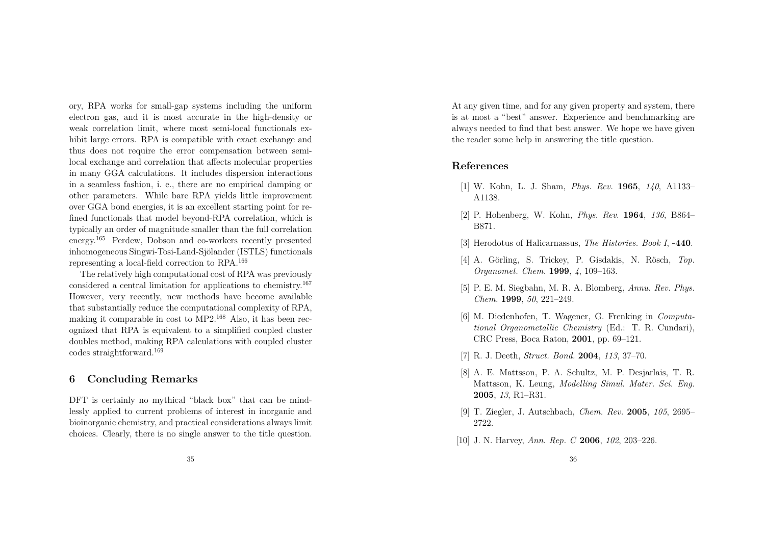ory, RPA works for small-gap systems including the uniform electron gas, and it is most accurate in the high-density or weak correlation limit, where most semi-local functionals exhibit large errors. RPA is compatible with exact exchange and thus does not require the error compensation between semilocal exchange and correlation that affects molecular properties in many GGA calculations. It includes dispersion interactions in a seamless fashion, i. e., there are no empirical damping or other parameters. While bare RPA yields little improvement over GGA bond energies, it is an excellent starting point for refined functionals that model beyond-RPA correlation, which is typically an order of magnitude smaller than the full correlation energy.<sup>165</sup> Perdew, Dobson and co-workers recently presented inhomogeneous Singwi-Tosi-Land-Sjölander (ISTLS) functionals representing a local-field correction to RPA.<sup>166</sup>

The relatively high computational cost of RPA was previously considered a central limitation for applications to chemistry.<sup>167</sup> However, very recently, new methods have become available that substantially reduce the computational complexity of RPA, making it comparable in cost to MP2.<sup>168</sup> Also, it has been recognized that RPA is equivalent to a simplified coupled cluster doubles method, making RPA calculations with coupled cluster codes straightforward.<sup>169</sup>

# **6 Concluding Remarks**

DFT is certainly no mythical "black box" that can be mindlessly applied to current problems of interest in inorganic and bioinorganic chemistry, and practical considerations always limit choices. Clearly, there is no single answer to the title question.

At any given time, and for any given property and system, there is at most a "best" answer. Experience and benchmarking are always needed to find that best answer. We hope we have given the reader some help in answering the title question.

# **References**

- [1] W. Kohn, L. J. Sham, *Phys. Rev.* **1965**, *140*, A1133– A1138.
- [2] P. Hohenberg, W. Kohn, *Phys. Rev.* **1964**, *136*, B864– B871.
- [3] Herodotus of Halicarnassus, *The Histories. Book I*, **-440**.
- [4] A. Görling, S. Trickey, P. Gisdakis, N. Rösch, *Top. Organomet. Chem.* **1999**, *4*, 109–163.
- [5] P. E. M. Siegbahn, M. R. A. Blomberg, *Annu. Rev. Phys. Chem.* **1999**, *50*, 221–249.
- [6] M. Diedenhofen, T. Wagener, G. Frenking in *Computational Organometallic Chemistry* (Ed.: T. R. Cundari), CRC Press, Boca Raton, **2001**, pp. 69–121.
- [7] R. J. Deeth, *Struct. Bond.* **2004**, *113*, 37–70.
- [8] A. E. Mattsson, P. A. Schultz, M. P. Desjarlais, T. R. Mattsson, K. Leung, *Modelling Simul. Mater. Sci. Eng.* **2005**, *13*, R1–R31.
- [9] T. Ziegler, J. Autschbach, *Chem. Rev.* **2005**, *105*, 2695– 2722.
- [10] J. N. Harvey, *Ann. Rep. C* **2006**, *102*, 203–226.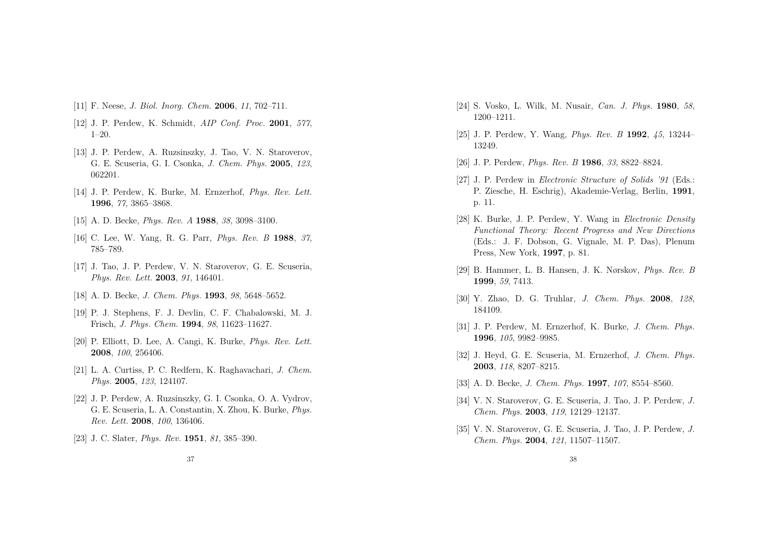- [11] F. Neese, *J. Biol. Inorg. Chem.* **2006**, *11*, 702–711.
- [12] J. P. Perdew, K. Schmidt, *AIP Conf. Proc.* **2001**, *577*, 1–20.
- [13] J. P. Perdew, A. Ruzsinszky, J. Tao, V. N. Staroverov, G. E. Scuseria, G. I. Csonka, *J. Chem. Phys.* **2005**, *123*, 062201.
- [14] J. P. Perdew, K. Burke, M. Ernzerhof, *Phys. Rev. Lett.* **1996**, *77*, 3865–3868.
- [15] A. D. Becke, *Phys. Rev. A* **1988**, *38*, 3098–3100.
- [16] C. Lee, W. Yang, R. G. Parr, *Phys. Rev. B* **1988**, *37*, 785–789.
- [17] J. Tao, J. P. Perdew, V. N. Staroverov, G. E. Scuseria, *Phys. Rev. Lett.* **2003**, *91*, 146401.
- [18] A. D. Becke, *J. Chem. Phys.* **1993**, *98*, 5648–5652.
- [19] P. J. Stephens, F. J. Devlin, C. F. Chabalowski, M. J. Frisch, *J. Phys. Chem.* **1994**, *98*, 11623–11627.
- [20] P. Elliott, D. Lee, A. Cangi, K. Burke, *Phys. Rev. Lett.* **2008**, *100*, 256406.
- [21] L. A. Curtiss, P. C. Redfern, K. Raghavachari, *J. Chem. Phys.* **2005**, *123*, 124107.
- [22] J. P. Perdew, A. Ruzsinszky, G. I. Csonka, O. A. Vydrov, G. E. Scuseria, L. A. Constantin, X. Zhou, K. Burke, *Phys. Rev. Lett.* **2008**, *100*, 136406.
- [23] J. C. Slater, *Phys. Rev.* **1951**, *81*, 385–390.
- [24] S. Vosko, L. Wilk, M. Nusair, *Can. J. Phys.* **1980**, *58*, 1200–1211.
- [25] J. P. Perdew, Y. Wang, *Phys. Rev. B* **1992**, *45*, 13244– 13249.
- [26] J. P. Perdew, *Phys. Rev. B* **1986**, *33*, 8822–8824.
- [27] J. P. Perdew in *Electronic Structure of Solids '91* (Eds.: P. Ziesche, H. Eschrig), Akademie-Verlag, Berlin, **1991**, p. 11.
- [28] K. Burke, J. P. Perdew, Y. Wang in *Electronic Density Functional Theory: Recent Progress and New Directions* (Eds.: J. F. Dobson, G. Vignale, M. P. Das), Plenum Press, New York, **1997**, p. 81.
- [29] B. Hammer, L. B. Hansen, J. K. Nørskov, *Phys. Rev. B* **1999**, *59*, 7413.
- [30] Y. Zhao, D. G. Truhlar, *J. Chem. Phys.* **2008**, *128*, 184109.
- [31] J. P. Perdew, M. Ernzerhof, K. Burke, *J. Chem. Phys.* **1996**, *105*, 9982–9985.
- [32] J. Heyd, G. E. Scuseria, M. Ernzerhof, *J. Chem. Phys.* **2003**, *118*, 8207–8215.
- [33] A. D. Becke, *J. Chem. Phys.* **1997**, *107*, 8554–8560.
- [34] V. N. Staroverov, G. E. Scuseria, J. Tao, J. P. Perdew, *J. Chem. Phys.* **2003**, *119*, 12129–12137.
- [35] V. N. Staroverov, G. E. Scuseria, J. Tao, J. P. Perdew, *J. Chem. Phys.* **2004**, *121*, 11507–11507.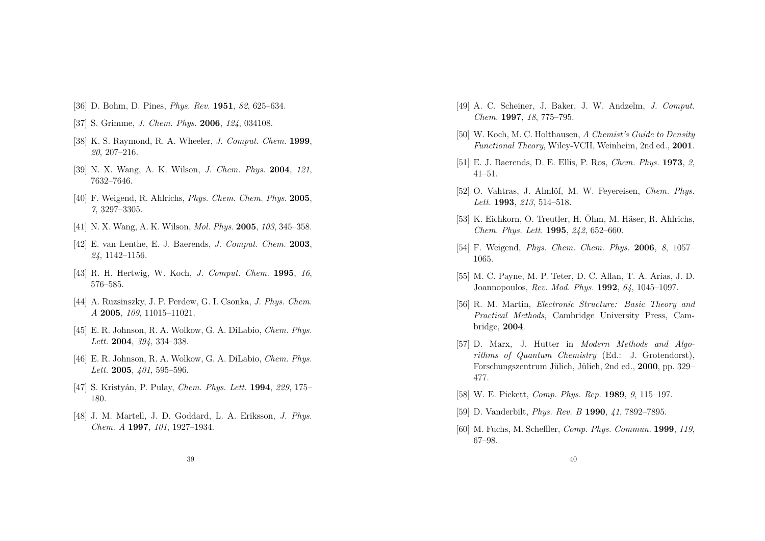- [36] D. Bohm, D. Pines, *Phys. Rev.* **1951**, *82*, 625–634.
- [37] S. Grimme, *J. Chem. Phys.* **2006**, *124*, 034108.
- [38] K. S. Raymond, R. A. Wheeler, *J. Comput. Chem.* **1999**, *20*, 207–216.
- [39] N. X. Wang, A. K. Wilson, *J. Chem. Phys.* **2004**, *121*, 7632–7646.
- [40] F. Weigend, R. Ahlrichs, *Phys. Chem. Chem. Phys.* **2005**, *7*, 3297–3305.
- [41] N. X. Wang, A. K. Wilson, *Mol. Phys.* **2005**, *103*, 345–358.
- [42] E. van Lenthe, E. J. Baerends, *J. Comput. Chem.* **2003**, *24*, 1142–1156.
- [43] R. H. Hertwig, W. Koch, *J. Comput. Chem.* **1995**, *16*, 576–585.
- [44] A. Ruzsinszky, J. P. Perdew, G. I. Csonka, *J. Phys. Chem. A* **2005**, *109*, 11015–11021.
- [45] E. R. Johnson, R. A. Wolkow, G. A. DiLabio, *Chem. Phys. Lett.* **2004**, *394*, 334–338.
- [46] E. R. Johnson, R. A. Wolkow, G. A. DiLabio, *Chem. Phys. Lett.* **2005**, *401*, 595–596.
- [47] S. Kristyán, P. Pulay, *Chem. Phys. Lett.* **1994**, *229*, 175– 180.
- [48] J. M. Martell, J. D. Goddard, L. A. Eriksson, *J. Phys. Chem. A* **1997**, *101*, 1927–1934.
- [49] A. C. Scheiner, J. Baker, J. W. Andzelm, *J. Comput. Chem.* **1997**, *18*, 775–795.
- [50] W. Koch, M. C. Holthausen, *A Chemist's Guide to Density Functional Theory*, Wiley-VCH, Weinheim, 2nd ed., **2001**.
- [51] E. J. Baerends, D. E. Ellis, P. Ros, *Chem. Phys.* **1973**, *2*, 41–51.
- [52] O. Vahtras, J. Almlöf, M. W. Feyereisen, *Chem. Phys. Lett.* **1993**, *213*, 514–518.
- [53] K. Eichkorn, O. Treutler, H. Öhm, M. Häser, R. Ahlrichs, *Chem. Phys. Lett.* **1995**, *242*, 652–660.
- [54] F. Weigend, *Phys. Chem. Chem. Phys.* **2006**, *8*, 1057– 1065.
- [55] M. C. Payne, M. P. Teter, D. C. Allan, T. A. Arias, J. D. Joannopoulos, *Rev. Mod. Phys.* **1992**, *64*, 1045–1097.
- [56] R. M. Martin, *Electronic Structure: Basic Theory and Practical Methods*, Cambridge University Press, Cambridge, **2004**.
- [57] D. Marx, J. Hutter in *Modern Methods and Algorithms of Quantum Chemistry* (Ed.: J. Grotendorst), Forschungszentrum Jülich, Jülich, 2nd ed., **2000**, pp. 329– 477.
- [58] W. E. Pickett, *Comp. Phys. Rep.* **1989**, *9*, 115–197.
- [59] D. Vanderbilt, *Phys. Rev. B* **1990**, *41*, 7892–7895.
- [60] M. Fuchs, M. Scheffler, *Comp. Phys. Commun.* **1999**, *119*, 67–98.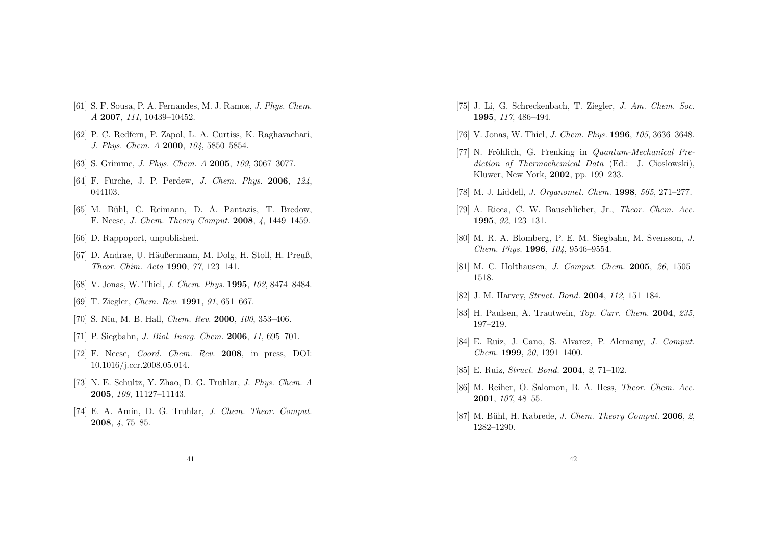- [61] S. F. Sousa, P. A. Fernandes, M. J. Ramos, *J. Phys. Chem. A* **2007**, *111*, 10439–10452.
- [62] P. C. Redfern, P. Zapol, L. A. Curtiss, K. Raghavachari, *J. Phys. Chem. A* **2000**, *104*, 5850–5854.
- [63] S. Grimme, *J. Phys. Chem. A* **2005**, *109*, 3067–3077.
- [64] F. Furche, J. P. Perdew, *J. Chem. Phys.* **2006**, *124*, 044103.
- [65] M. Bühl, C. Reimann, D. A. Pantazis, T. Bredow, F. Neese, *J. Chem. Theory Comput.* **2008**, *4*, 1449–1459.
- [66] D. Rappoport, unpublished.
- [67] D. Andrae, U. Häußermann, M. Dolg, H. Stoll, H. Preuß, *Theor. Chim. Acta* **1990**, *77*, 123–141.
- [68] V. Jonas, W. Thiel, *J. Chem. Phys.* **1995**, *102*, 8474–8484.
- [69] T. Ziegler, *Chem. Rev.* **1991**, *91*, 651–667.
- [70] S. Niu, M. B. Hall, *Chem. Rev.* **2000**, *100*, 353–406.
- [71] P. Siegbahn, *J. Biol. Inorg. Chem.* **2006**, *11*, 695–701.
- [72] F. Neese, *Coord. Chem. Rev.* **2008**, in press, DOI: 10.1016/j.ccr.2008.05.014.
- [73] N. E. Schultz, Y. Zhao, D. G. Truhlar, *J. Phys. Chem. A* **2005**, *109*, 11127–11143.
- [74] E. A. Amin, D. G. Truhlar, *J. Chem. Theor. Comput.* **2008**, *4*, 75–85.
- [75] J. Li, G. Schreckenbach, T. Ziegler, *J. Am. Chem. Soc.* **1995**, *117*, 486–494.
- [76] V. Jonas, W. Thiel, *J. Chem. Phys.* **1996**, *105*, 3636–3648.
- [77] N. Fröhlich, G. Frenking in *Quantum-Mechanical Prediction of Thermochemical Data* (Ed.: J. Cioslowski), Kluwer, New York, **2002**, pp. 199–233.
- [78] M. J. Liddell, *J. Organomet. Chem.* **1998**, *565*, 271–277.
- [79] A. Ricca, C. W. Bauschlicher, Jr., *Theor. Chem. Acc.* **1995**, *92*, 123–131.
- [80] M. R. A. Blomberg, P. E. M. Siegbahn, M. Svensson, *J. Chem. Phys.* **1996**, *104*, 9546–9554.
- [81] M. C. Holthausen, *J. Comput. Chem.* **2005**, *26*, 1505– 1518.
- [82] J. M. Harvey, *Struct. Bond.* **2004**, *112*, 151–184.
- [83] H. Paulsen, A. Trautwein, *Top. Curr. Chem.* **2004**, *235*, 197–219.
- [84] E. Ruiz, J. Cano, S. Alvarez, P. Alemany, *J. Comput. Chem.* **1999**, *20*, 1391–1400.
- [85] E. Ruiz, *Struct. Bond.* **2004**, *2*, 71–102.
- [86] M. Reiher, O. Salomon, B. A. Hess, *Theor. Chem. Acc.* **2001**, *107*, 48–55.
- [87] M. Bühl, H. Kabrede, *J. Chem. Theory Comput.* **2006**, *2*, 1282–1290.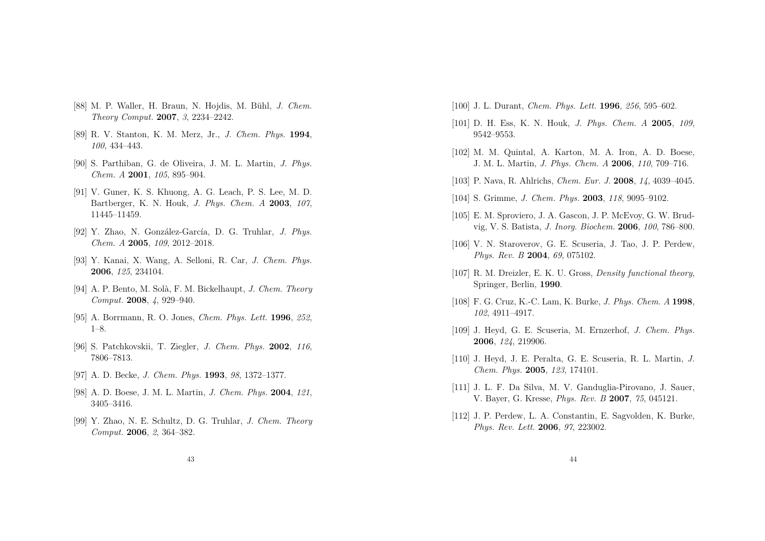- [88] M. P. Waller, H. Braun, N. Hojdis, M. Bühl, *J. Chem. Theory Comput.* **2007**, *3*, 2234–2242.
- [89] R. V. Stanton, K. M. Merz, Jr., *J. Chem. Phys.* **1994**, *100*, 434–443.
- [90] S. Parthiban, G. de Oliveira, J. M. L. Martin, *J. Phys. Chem. A* **2001**, *105*, 895–904.
- [91] V. Guner, K. S. Khuong, A. G. Leach, P. S. Lee, M. D. Bartberger, K. N. Houk, *J. Phys. Chem. A* **2003**, *107*, 11445–11459.
- [92] Y. Zhao, N. González-García, D. G. Truhlar, *J. Phys. Chem. A* **2005**, *109*, 2012–2018.
- [93] Y. Kanai, X. Wang, A. Selloni, R. Car, *J. Chem. Phys.* **2006**, *125*, 234104.
- [94] A. P. Bento, M. Solà, F. M. Bickelhaupt, *J. Chem. Theory Comput.* **2008**, *4*, 929–940.
- [95] A. Borrmann, R. O. Jones, *Chem. Phys. Lett.* **1996**, *252*, 1–8.
- [96] S. Patchkovskii, T. Ziegler, *J. Chem. Phys.* **2002**, *116*, 7806–7813.
- [97] A. D. Becke, *J. Chem. Phys.* **1993**, *98*, 1372–1377.
- [98] A. D. Boese, J. M. L. Martin, *J. Chem. Phys.* **2004**, *121*, 3405–3416.
- [99] Y. Zhao, N. E. Schultz, D. G. Truhlar, *J. Chem. Theory Comput.* **2006**, *2*, 364–382.
- [100] J. L. Durant, *Chem. Phys. Lett.* **1996**, *256*, 595–602.
- [101] D. H. Ess, K. N. Houk, *J. Phys. Chem. A* **2005**, *109*, 9542–9553.
- [102] M. M. Quintal, A. Karton, M. A. Iron, A. D. Boese, J. M. L. Martin, *J. Phys. Chem. A* **2006**, *110*, 709–716.
- [103] P. Nava, R. Ahlrichs, *Chem. Eur. J.* **2008**, *14*, 4039–4045.
- [104] S. Grimme, *J. Chem. Phys.* **2003**, *118*, 9095–9102.
- [105] E. M. Sproviero, J. A. Gascon, J. P. McEvoy, G. W. Brudvig, V. S. Batista, *J. Inorg. Biochem.* **2006**, *100*, 786–800.
- [106] V. N. Staroverov, G. E. Scuseria, J. Tao, J. P. Perdew, *Phys. Rev. B* **2004**, *69*, 075102.
- [107] R. M. Dreizler, E. K. U. Gross, *Density functional theory*, Springer, Berlin, **1990**.
- [108] F. G. Cruz, K.-C. Lam, K. Burke, *J. Phys. Chem. A* **1998**, *102*, 4911–4917.
- [109] J. Heyd, G. E. Scuseria, M. Ernzerhof, *J. Chem. Phys.* **2006**, *124*, 219906.
- [110] J. Heyd, J. E. Peralta, G. E. Scuseria, R. L. Martin, *J. Chem. Phys.* **2005**, *123*, 174101.
- [111] J. L. F. Da Silva, M. V. Ganduglia-Pirovano, J. Sauer, V. Bayer, G. Kresse, *Phys. Rev. B* **2007**, *75*, 045121.
- [112] J. P. Perdew, L. A. Constantin, E. Sagvolden, K. Burke, *Phys. Rev. Lett.* **2006**, *97*, 223002.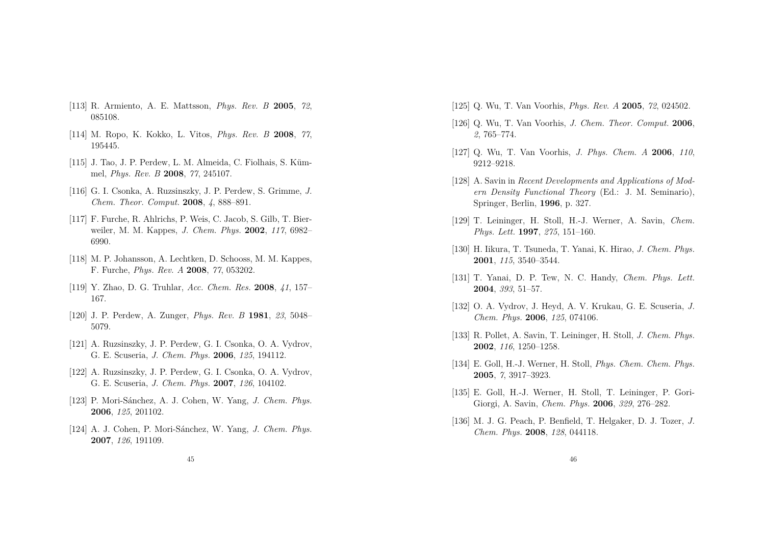- [113] R. Armiento, A. E. Mattsson, *Phys. Rev. B* **2005**, *72*, 085108.
- [114] M. Ropo, K. Kokko, L. Vitos, *Phys. Rev. B* **2008**, *77*, 195445.
- [115] J. Tao, J. P. Perdew, L. M. Almeida, C. Fiolhais, S. Kümmel, *Phys. Rev. B* **2008**, *77*, 245107.
- [116] G. I. Csonka, A. Ruzsinszky, J. P. Perdew, S. Grimme, *J. Chem. Theor. Comput.* **2008**, *4*, 888–891.
- [117] F. Furche, R. Ahlrichs, P. Weis, C. Jacob, S. Gilb, T. Bierweiler, M. M. Kappes, *J. Chem. Phys.* **2002**, *117*, 6982– 6990.
- [118] M. P. Johansson, A. Lechtken, D. Schooss, M. M. Kappes, F. Furche, *Phys. Rev. A* **2008**, *77*, 053202.
- [119] Y. Zhao, D. G. Truhlar, *Acc. Chem. Res.* **2008**, *41*, 157– 167.
- [120] J. P. Perdew, A. Zunger, *Phys. Rev. B* **1981**, *23*, 5048– 5079.
- [121] A. Ruzsinszky, J. P. Perdew, G. I. Csonka, O. A. Vydrov, G. E. Scuseria, *J. Chem. Phys.* **2006**, *125*, 194112.
- [122] A. Ruzsinszky, J. P. Perdew, G. I. Csonka, O. A. Vydrov, G. E. Scuseria, *J. Chem. Phys.* **2007**, *126*, 104102.
- [123] P. Mori-Sánchez, A. J. Cohen, W. Yang, *J. Chem. Phys.* **2006**, *125*, 201102.
- [124] A. J. Cohen, P. Mori-Sánchez, W. Yang, *J. Chem. Phys.* **2007**, *126*, 191109.
- [125] Q. Wu, T. Van Voorhis, *Phys. Rev. A* **2005**, *72*, 024502.
- [126] Q. Wu, T. Van Voorhis, *J. Chem. Theor. Comput.* **2006**, *2*, 765–774.
- [127] Q. Wu, T. Van Voorhis, *J. Phys. Chem. A* **2006**, *110*, 9212–9218.
- [128] A. Savin in *Recent Developments and Applications of Modern Density Functional Theory* (Ed.: J. M. Seminario), Springer, Berlin, **1996**, p. 327.
- [129] T. Leininger, H. Stoll, H.-J. Werner, A. Savin, *Chem. Phys. Lett.* **1997**, *275*, 151–160.
- [130] H. Iikura, T. Tsuneda, T. Yanai, K. Hirao, *J. Chem. Phys.* **2001**, *115*, 3540–3544.
- [131] T. Yanai, D. P. Tew, N. C. Handy, *Chem. Phys. Lett.* **2004**, *393*, 51–57.
- [132] O. A. Vydrov, J. Heyd, A. V. Krukau, G. E. Scuseria, *J. Chem. Phys.* **2006**, *125*, 074106.
- [133] R. Pollet, A. Savin, T. Leininger, H. Stoll, *J. Chem. Phys.* **2002**, *116*, 1250–1258.
- [134] E. Goll, H.-J. Werner, H. Stoll, *Phys. Chem. Chem. Phys.* **2005**, *7*, 3917–3923.
- [135] E. Goll, H.-J. Werner, H. Stoll, T. Leininger, P. Gori-Giorgi, A. Savin, *Chem. Phys.* **2006**, *329*, 276–282.
- [136] M. J. G. Peach, P. Benfield, T. Helgaker, D. J. Tozer, *J. Chem. Phys.* **2008**, *128*, 044118.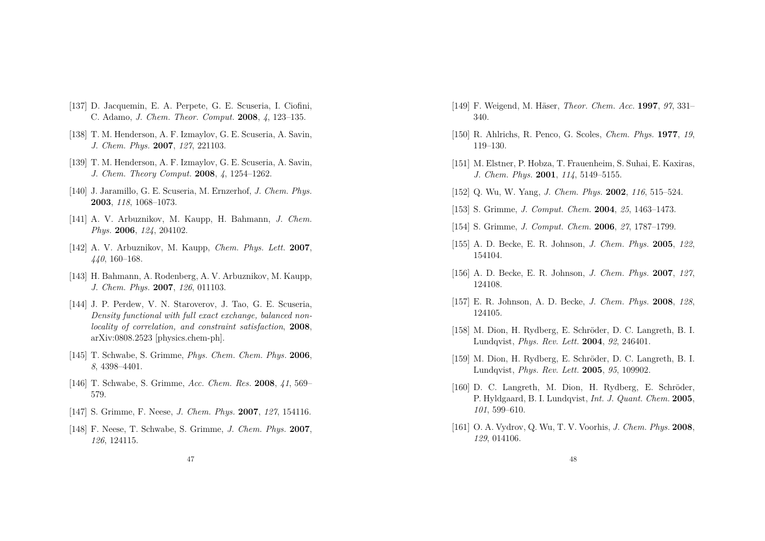- [137] D. Jacquemin, E. A. Perpete, G. E. Scuseria, I. Ciofini, C. Adamo, *J. Chem. Theor. Comput.* **2008**, *4*, 123–135.
- [138] T. M. Henderson, A. F. Izmaylov, G. E. Scuseria, A. Savin, *J. Chem. Phys.* **2007**, *127*, 221103.
- [139] T. M. Henderson, A. F. Izmaylov, G. E. Scuseria, A. Savin, *J. Chem. Theory Comput.* **2008**, *4*, 1254–1262.
- [140] J. Jaramillo, G. E. Scuseria, M. Ernzerhof, *J. Chem. Phys.* **2003**, *118*, 1068–1073.
- [141] A. V. Arbuznikov, M. Kaupp, H. Bahmann, *J. Chem. Phys.* **2006**, *124*, 204102.
- [142] A. V. Arbuznikov, M. Kaupp, *Chem. Phys. Lett.* **2007**, *440*, 160–168.
- [143] H. Bahmann, A. Rodenberg, A. V. Arbuznikov, M. Kaupp, *J. Chem. Phys.* **2007**, *126*, 011103.
- [144] J. P. Perdew, V. N. Staroverov, J. Tao, G. E. Scuseria, *Density functional with full exact exchange, balanced nonlocality of correlation, and constraint satisfaction*, **2008**, arXiv:0808.2523 [physics.chem-ph].
- [145] T. Schwabe, S. Grimme, *Phys. Chem. Chem. Phys.* **2006**, *8*, 4398–4401.
- [146] T. Schwabe, S. Grimme, *Acc. Chem. Res.* **2008**, *41*, 569– 579.
- [147] S. Grimme, F. Neese, *J. Chem. Phys.* **2007**, *127*, 154116.
- [148] F. Neese, T. Schwabe, S. Grimme, *J. Chem. Phys.* **2007**, *126*, 124115.
- [149] F. Weigend, M. Häser, *Theor. Chem. Acc.* **1997**, *97*, 331– 340.
- [150] R. Ahlrichs, R. Penco, G. Scoles, *Chem. Phys.* **1977**, *19*, 119–130.
- [151] M. Elstner, P. Hobza, T. Frauenheim, S. Suhai, E. Kaxiras, *J. Chem. Phys.* **2001**, *114*, 5149–5155.
- [152] Q. Wu, W. Yang, *J. Chem. Phys.* **2002**, *116*, 515–524.
- [153] S. Grimme, *J. Comput. Chem.* **2004**, *25*, 1463–1473.
- [154] S. Grimme, *J. Comput. Chem.* **2006**, *27*, 1787–1799.
- [155] A. D. Becke, E. R. Johnson, *J. Chem. Phys.* **2005**, *122*, 154104.
- [156] A. D. Becke, E. R. Johnson, *J. Chem. Phys.* **2007**, *127*, 124108.
- [157] E. R. Johnson, A. D. Becke, *J. Chem. Phys.* **2008**, *128*, 124105.
- [158] M. Dion, H. Rydberg, E. Schröder, D. C. Langreth, B. I. Lundqvist, *Phys. Rev. Lett.* **2004**, *92*, 246401.
- [159] M. Dion, H. Rydberg, E. Schröder, D. C. Langreth, B. I. Lundqvist, *Phys. Rev. Lett.* **2005**, *95*, 109902.
- [160] D. C. Langreth, M. Dion, H. Rydberg, E. Schröder, P. Hyldgaard, B. I. Lundqvist, *Int. J. Quant. Chem.* **2005**, *101*, 599–610.
- [161] O. A. Vydrov, Q. Wu, T. V. Voorhis, *J. Chem. Phys.* **2008**, *129*, 014106.